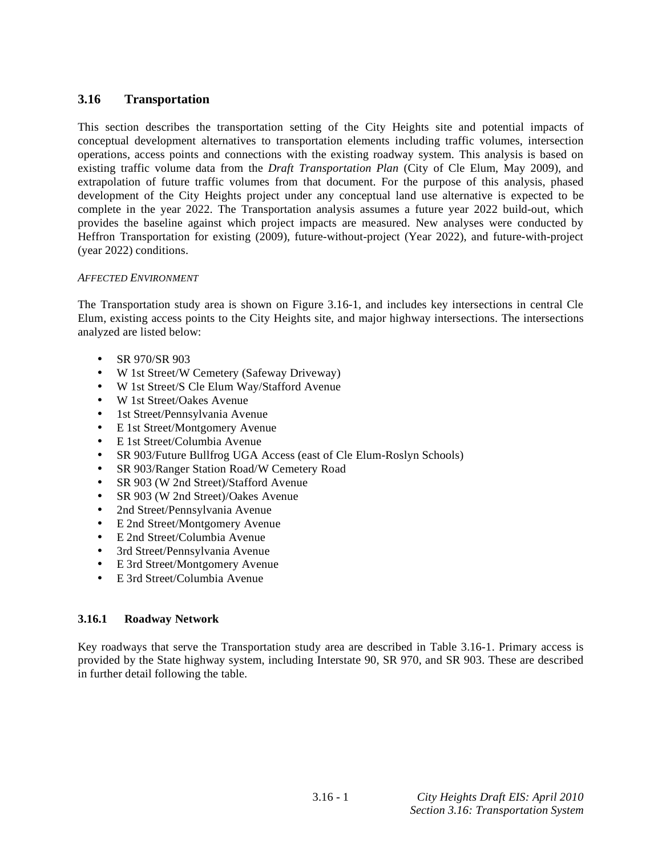# **3.16 Transportation**

This section describes the transportation setting of the City Heights site and potential impacts of conceptual development alternatives to transportation elements including traffic volumes, intersection operations, access points and connections with the existing roadway system. This analysis is based on existing traffic volume data from the *Draft Transportation Plan* (City of Cle Elum, May 2009), and extrapolation of future traffic volumes from that document. For the purpose of this analysis, phased development of the City Heights project under any conceptual land use alternative is expected to be complete in the year 2022. The Transportation analysis assumes a future year 2022 build-out, which provides the baseline against which project impacts are measured. New analyses were conducted by Heffron Transportation for existing (2009), future-without-project (Year 2022), and future-with-project (year 2022) conditions.

### *AFFECTED ENVIRONMENT*

The Transportation study area is shown on Figure 3.16-1, and includes key intersections in central Cle Elum, existing access points to the City Heights site, and major highway intersections. The intersections analyzed are listed below:

- SR 970/SR 903
- W 1st Street/W Cemetery (Safeway Driveway)
- W 1st Street/S Cle Elum Way/Stafford Avenue
- W 1st Street/Oakes Avenue
- 1st Street/Pennsylvania Avenue
- E 1st Street/Montgomery Avenue
- E 1st Street/Columbia Avenue
- SR 903/Future Bullfrog UGA Access (east of Cle Elum-Roslyn Schools)
- SR 903/Ranger Station Road/W Cemetery Road
- SR 903 (W 2nd Street)/Stafford Avenue
- SR 903 (W 2nd Street)/Oakes Avenue
- 2nd Street/Pennsylvania Avenue
- E 2nd Street/Montgomery Avenue
- E 2nd Street/Columbia Avenue
- 3rd Street/Pennsylvania Avenue
- E 3rd Street/Montgomery Avenue
- E 3rd Street/Columbia Avenue

### **3.16.1 Roadway Network**

Key roadways that serve the Transportation study area are described in Table 3.16-1. Primary access is provided by the State highway system, including Interstate 90, SR 970, and SR 903. These are described in further detail following the table.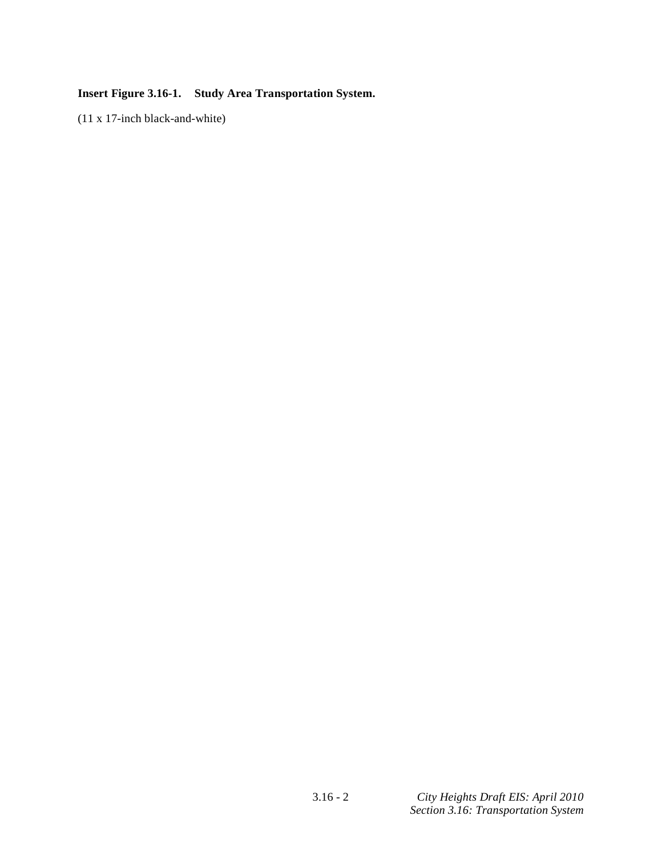# **Insert Figure 3.16-1. Study Area Transportation System.**

(11 x 17-inch black-and-white)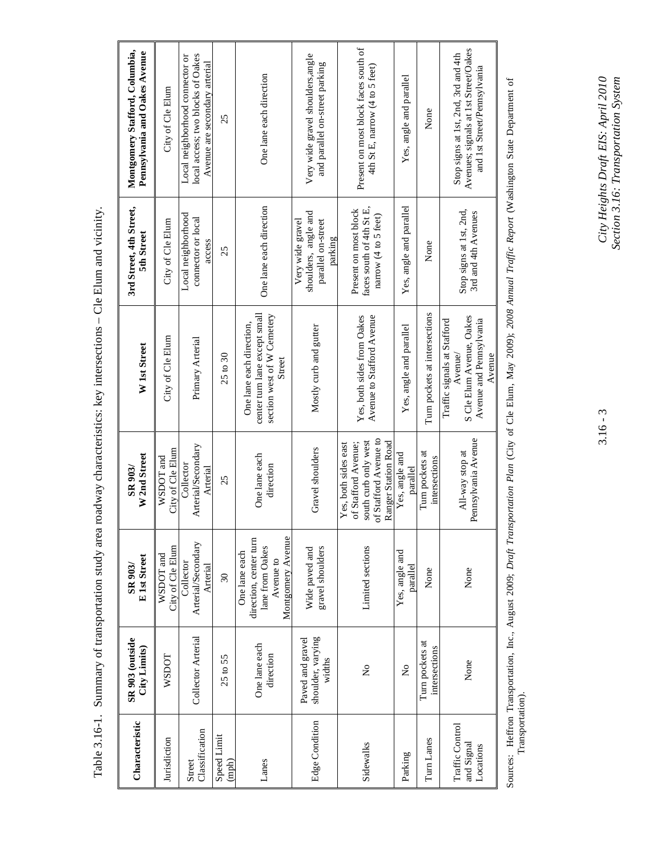| Characteristic                             | SR 903 (outside<br>City Limits)                 | E 1st Street<br>SR 903/                                                                      | W 2nd Street<br>SR 903/                                                                                             | W 1st Street                                                                                            | 3rd Street, 4th Street,<br>5th Street                                     | Montgomery Stafford, Columbia,<br>Pennsylvania and Oakes Avenue                                            |
|--------------------------------------------|-------------------------------------------------|----------------------------------------------------------------------------------------------|---------------------------------------------------------------------------------------------------------------------|---------------------------------------------------------------------------------------------------------|---------------------------------------------------------------------------|------------------------------------------------------------------------------------------------------------|
| Jurisdiction                               | <b>WSDOT</b>                                    | City of Cle Elum<br>WSDOT and                                                                | City of Cle Elum<br>$WSDOT$ and                                                                                     | City of Cle Elum                                                                                        | City of Cle Elum                                                          | City of Cle Elum                                                                                           |
| Classification<br>Street                   | Collector Arterial                              | Arterial/Secondary<br>Collector<br>Arterial                                                  | Arterial/Secondary<br>Collector<br>Arterial                                                                         | Primary Arterial                                                                                        | Local neighborhood<br>connector or local<br>access                        | local access; two blocks of Oakes<br>Local neighborhood connector or<br>Avenue are secondary arterial      |
| Speed Limit<br>$(\text{mph})$              | $25$ to $55$                                    | $\overline{\omega}$                                                                          | 25                                                                                                                  | $25 \text{ to } 30$                                                                                     | 25                                                                        | 25                                                                                                         |
| Lanes                                      | One lane each<br>direction                      | Montgomery Avenue<br>direction, center turn<br>lane from Oakes<br>One lane each<br>Avenue to | One lane each<br>direction                                                                                          | center turn lane except small<br>section west of W Cemetery<br>One lane each direction,<br>Street       | One lane each direction                                                   | One lane each direction                                                                                    |
| Edge Condition                             | shoulder, varying<br>Paved and gravel<br>widths | gravel shoulders<br>Wide paved and                                                           | Gravel shoulders                                                                                                    | Mostly curb and gutter                                                                                  | shoulders, angle and<br>Very wide gravel<br>parallel on-street<br>parking | Very wide gravel shoulders, angle<br>and parallel on-street parking                                        |
| Sidewalks                                  | $\tilde{\mathbf{z}}$                            | Limited sections                                                                             | of Stafford Avenue to<br>south curb only west<br>Ranger Station Road<br>of Stafford Avenue;<br>Yes, both sides east | Yes, both sides from Oakes<br>Avenue to Stafford Avenue                                                 | faces south of 4th St E,<br>Present on most block<br>narrow (4 to 5 feet) | Present on most block faces south of<br>4th St E, narrow $(4 \text{ to } 5 \text{ feet})$                  |
| Parking                                    | $\overline{R}$                                  | Yes, angle and<br>parallel                                                                   | Yes, angle and<br>parallel                                                                                          | Yes, angle and parallel                                                                                 | Yes, angle and parallel                                                   | Yes, angle and parallel                                                                                    |
| Turn Lanes                                 | Turn pockets at<br>intersections                | None                                                                                         | Turn pockets at<br>intersections                                                                                    | Turn pockets at intersections                                                                           | None                                                                      | None                                                                                                       |
| Traffic Control<br>and Signal<br>Locations | None                                            | None                                                                                         | Pennsylvania Avenue<br>All-way stop at                                                                              | S Cle Elum Avenue, Oakes<br>Traffic signals at Stafford<br>Avenue and Pennsylvania<br>Avenue/<br>Avenue | Stop signs at 1st, 2nd,<br>3rd and 4th Avenues                            | Avenues; signals at 1st Street/Oakes<br>Stop signs at 1st, 2nd, 3rd and 4th<br>and 1st Street/Pennsylvania |

Table 3.16-1. Summary of transportation study area roadway characteristics: key intersections – Cle Elum and vicinity. Table 3.16-1. Summary of transportation study area roadway characteristics: key intersections - Cle Elum and vicinity. Sources: Heffron Transportation, Inc., August 2009; Draft Transportation Plan (City of Cle Elum, May 2009); 2008 Annual Traffic Report (Washington State Department of<br>Transportation). Sources: Heffron Transportation, Inc., August 2009; *Draft Transportation Plan* (City of Cle Elum, May 2009); *2008 Annual Traffic Report* (Washington State Department of Transportation).

 $3.16 - 3$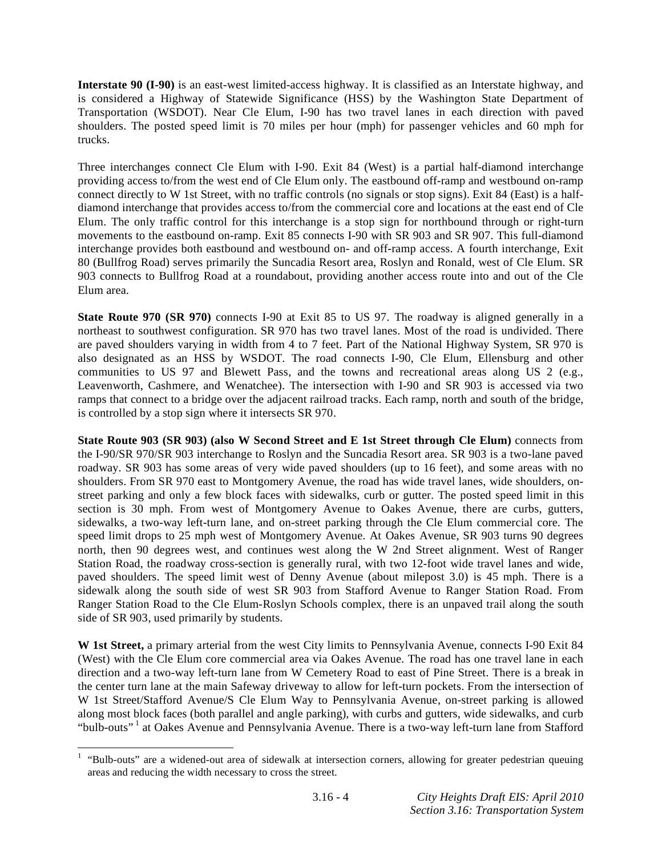**Interstate 90 (I-90)** is an east-west limited-access highway. It is classified as an Interstate highway, and is considered a Highway of Statewide Significance (HSS) by the Washington State Department of Transportation (WSDOT). Near Cle Elum, I-90 has two travel lanes in each direction with paved shoulders. The posted speed limit is 70 miles per hour (mph) for passenger vehicles and 60 mph for trucks.

Three interchanges connect Cle Elum with I-90. Exit 84 (West) is a partial half-diamond interchange providing access to/from the west end of Cle Elum only. The eastbound off-ramp and westbound on-ramp connect directly to W 1st Street, with no traffic controls (no signals or stop signs). Exit 84 (East) is a halfdiamond interchange that provides access to/from the commercial core and locations at the east end of Cle Elum. The only traffic control for this interchange is a stop sign for northbound through or right-turn movements to the eastbound on-ramp. Exit 85 connects I-90 with SR 903 and SR 907. This full-diamond interchange provides both eastbound and westbound on- and off-ramp access. A fourth interchange, Exit 80 (Bullfrog Road) serves primarily the Suncadia Resort area, Roslyn and Ronald, west of Cle Elum. SR 903 connects to Bullfrog Road at a roundabout, providing another access route into and out of the Cle Elum area.

**State Route 970 (SR 970)** connects I-90 at Exit 85 to US 97. The roadway is aligned generally in a northeast to southwest configuration. SR 970 has two travel lanes. Most of the road is undivided. There are paved shoulders varying in width from 4 to 7 feet. Part of the National Highway System, SR 970 is also designated as an HSS by WSDOT. The road connects I-90, Cle Elum, Ellensburg and other communities to US 97 and Blewett Pass, and the towns and recreational areas along US 2 (e.g., Leavenworth, Cashmere, and Wenatchee). The intersection with I-90 and SR 903 is accessed via two ramps that connect to a bridge over the adjacent railroad tracks. Each ramp, north and south of the bridge, is controlled by a stop sign where it intersects SR 970.

**State Route 903 (SR 903) (also W Second Street and E 1st Street through Cle Elum)** connects from the I-90/SR 970/SR 903 interchange to Roslyn and the Suncadia Resort area. SR 903 is a two-lane paved roadway. SR 903 has some areas of very wide paved shoulders (up to 16 feet), and some areas with no shoulders. From SR 970 east to Montgomery Avenue, the road has wide travel lanes, wide shoulders, onstreet parking and only a few block faces with sidewalks, curb or gutter. The posted speed limit in this section is 30 mph. From west of Montgomery Avenue to Oakes Avenue, there are curbs, gutters, sidewalks, a two-way left-turn lane, and on-street parking through the Cle Elum commercial core. The speed limit drops to 25 mph west of Montgomery Avenue. At Oakes Avenue, SR 903 turns 90 degrees north, then 90 degrees west, and continues west along the W 2nd Street alignment. West of Ranger Station Road, the roadway cross-section is generally rural, with two 12-foot wide travel lanes and wide, paved shoulders. The speed limit west of Denny Avenue (about milepost 3.0) is 45 mph. There is a sidewalk along the south side of west SR 903 from Stafford Avenue to Ranger Station Road. From Ranger Station Road to the Cle Elum-Roslyn Schools complex, there is an unpaved trail along the south side of SR 903, used primarily by students.

**W 1st Street,** a primary arterial from the west City limits to Pennsylvania Avenue, connects I-90 Exit 84 (West) with the Cle Elum core commercial area via Oakes Avenue. The road has one travel lane in each direction and a two-way left-turn lane from W Cemetery Road to east of Pine Street. There is a break in the center turn lane at the main Safeway driveway to allow for left-turn pockets. From the intersection of W 1st Street/Stafford Avenue/S Cle Elum Way to Pennsylvania Avenue, on-street parking is allowed along most block faces (both parallel and angle parking), with curbs and gutters, wide sidewalks, and curb "bulb-outs"<sup>1</sup> at Oakes Avenue and Pennsylvania Avenue. There is a two-way left-turn lane from Stafford

<sup>&</sup>lt;sup>1</sup> "Bulb-outs" are a widened-out area of sidewalk at intersection corners, allowing for greater pedestrian queuing areas and reducing the width necessary to cross the street.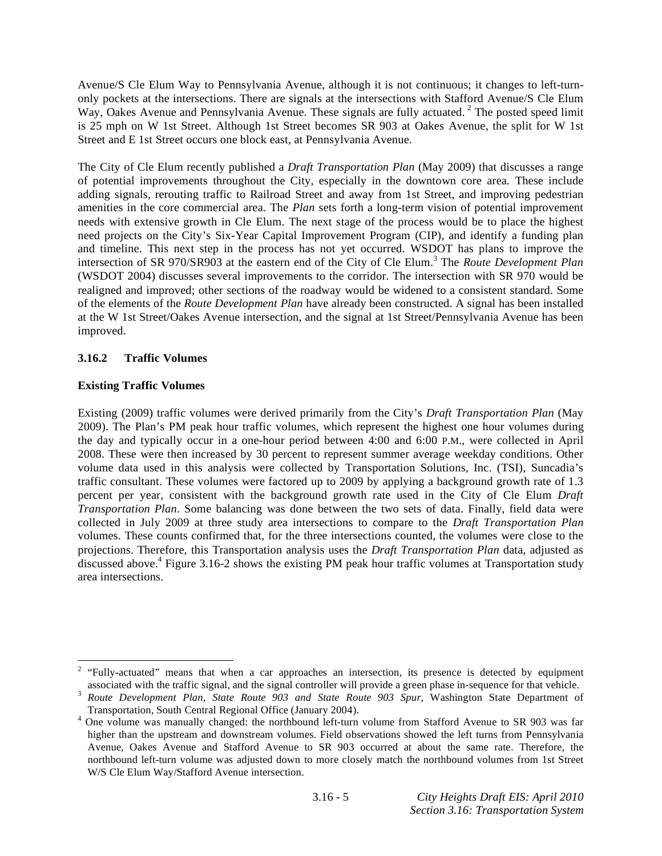Avenue/S Cle Elum Way to Pennsylvania Avenue, although it is not continuous; it changes to left-turnonly pockets at the intersections. There are signals at the intersections with Stafford Avenue/S Cle Elum Way, Oakes Avenue and Pennsylvania Avenue. These signals are fully actuated.<sup>2</sup> The posted speed limit is 25 mph on W 1st Street. Although 1st Street becomes SR 903 at Oakes Avenue, the split for W 1st Street and E 1st Street occurs one block east, at Pennsylvania Avenue.

The City of Cle Elum recently published a *Draft Transportation Plan* (May 2009) that discusses a range of potential improvements throughout the City, especially in the downtown core area. These include adding signals, rerouting traffic to Railroad Street and away from 1st Street, and improving pedestrian amenities in the core commercial area. The *Plan* sets forth a long-term vision of potential improvement needs with extensive growth in Cle Elum. The next stage of the process would be to place the highest need projects on the City's Six-Year Capital Improvement Program (CIP), and identify a funding plan and timeline. This next step in the process has not yet occurred. WSDOT has plans to improve the intersection of SR 970/SR903 at the eastern end of the City of Cle Elum.<sup>3</sup> The *Route Development Plan* (WSDOT 2004) discusses several improvements to the corridor. The intersection with SR 970 would be realigned and improved; other sections of the roadway would be widened to a consistent standard. Some of the elements of the *Route Development Plan* have already been constructed. A signal has been installed at the W 1st Street/Oakes Avenue intersection, and the signal at 1st Street/Pennsylvania Avenue has been improved.

### **3.16.2 Traffic Volumes**

### **Existing Traffic Volumes**

1

Existing (2009) traffic volumes were derived primarily from the City's *Draft Transportation Plan* (May 2009). The Plan's PM peak hour traffic volumes, which represent the highest one hour volumes during the day and typically occur in a one-hour period between 4:00 and 6:00 P.M., were collected in April 2008. These were then increased by 30 percent to represent summer average weekday conditions. Other volume data used in this analysis were collected by Transportation Solutions, Inc. (TSI), Suncadia's traffic consultant. These volumes were factored up to 2009 by applying a background growth rate of 1.3 percent per year, consistent with the background growth rate used in the City of Cle Elum *Draft Transportation Plan*. Some balancing was done between the two sets of data. Finally, field data were collected in July 2009 at three study area intersections to compare to the *Draft Transportation Plan* volumes. These counts confirmed that, for the three intersections counted, the volumes were close to the projections. Therefore, this Transportation analysis uses the *Draft Transportation Plan* data, adjusted as discussed above.<sup>4</sup> Figure 3.16-2 shows the existing PM peak hour traffic volumes at Transportation study area intersections.

<sup>2</sup> "Fully-actuated" means that when a car approaches an intersection, its presence is detected by equipment associated with the traffic signal, and the signal controller will provide a green phase in-sequence for that vehicle. 3

*Route Development Plan, State Route 903 and State Route 903 Spur*, Washington State Department of

Transportation, South Central Regional Office (January 2004). 4 One volume was manually changed: the northbound left-turn volume from Stafford Avenue to SR 903 was far higher than the upstream and downstream volumes. Field observations showed the left turns from Pennsylvania Avenue, Oakes Avenue and Stafford Avenue to SR 903 occurred at about the same rate. Therefore, the northbound left-turn volume was adjusted down to more closely match the northbound volumes from 1st Street W/S Cle Elum Way/Stafford Avenue intersection.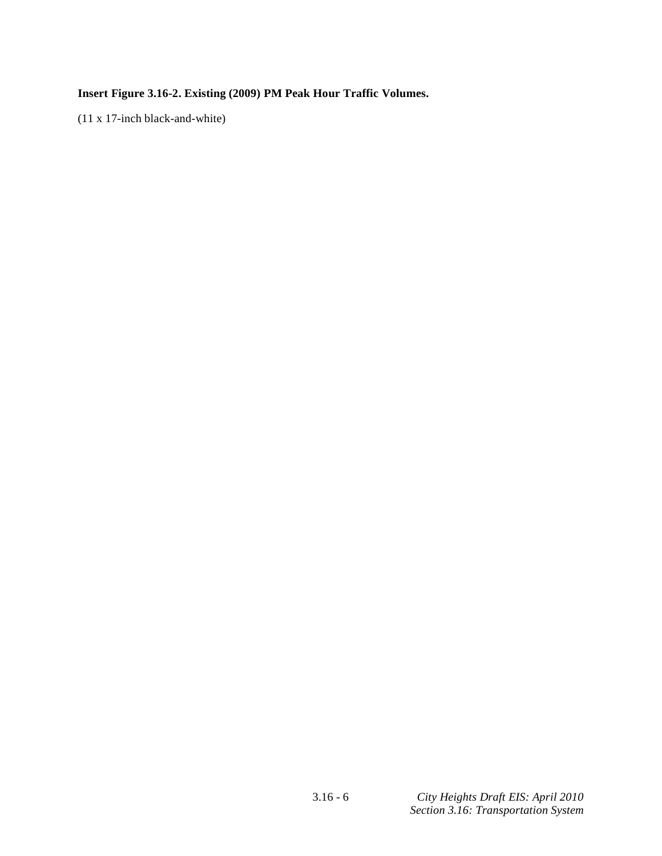# **Insert Figure 3.16-2. Existing (2009) PM Peak Hour Traffic Volumes.**

(11 x 17-inch black-and-white)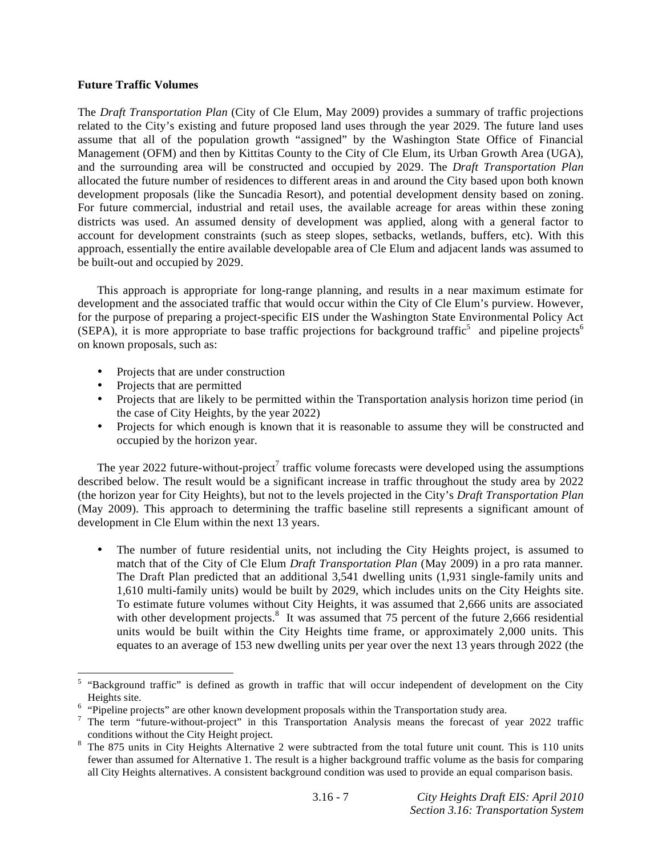#### **Future Traffic Volumes**

The *Draft Transportation Plan* (City of Cle Elum, May 2009) provides a summary of traffic projections related to the City's existing and future proposed land uses through the year 2029. The future land uses assume that all of the population growth "assigned" by the Washington State Office of Financial Management (OFM) and then by Kittitas County to the City of Cle Elum, its Urban Growth Area (UGA), and the surrounding area will be constructed and occupied by 2029. The *Draft Transportation Plan* allocated the future number of residences to different areas in and around the City based upon both known development proposals (like the Suncadia Resort), and potential development density based on zoning. For future commercial, industrial and retail uses, the available acreage for areas within these zoning districts was used. An assumed density of development was applied, along with a general factor to account for development constraints (such as steep slopes, setbacks, wetlands, buffers, etc). With this approach, essentially the entire available developable area of Cle Elum and adjacent lands was assumed to be built-out and occupied by 2029.

 This approach is appropriate for long-range planning, and results in a near maximum estimate for development and the associated traffic that would occur within the City of Cle Elum's purview. However, for the purpose of preparing a project-specific EIS under the Washington State Environmental Policy Act  $(SEPA)$ , it is more appropriate to base traffic projections for background traffic<sup>5</sup> and pipeline projects<sup>6</sup> on known proposals, such as:

- Projects that are under construction
- Projects that are permitted

l

- Projects that are likely to be permitted within the Transportation analysis horizon time period (in the case of City Heights, by the year 2022)
- Projects for which enough is known that it is reasonable to assume they will be constructed and occupied by the horizon year.

The year 2022 future-without-project<sup>7</sup> traffic volume forecasts were developed using the assumptions described below. The result would be a significant increase in traffic throughout the study area by 2022 (the horizon year for City Heights), but not to the levels projected in the City's *Draft Transportation Plan* (May 2009). This approach to determining the traffic baseline still represents a significant amount of development in Cle Elum within the next 13 years.

• The number of future residential units, not including the City Heights project, is assumed to match that of the City of Cle Elum *Draft Transportation Plan* (May 2009) in a pro rata manner*.* The Draft Plan predicted that an additional 3,541 dwelling units (1,931 single-family units and 1,610 multi-family units) would be built by 2029, which includes units on the City Heights site. To estimate future volumes without City Heights, it was assumed that 2,666 units are associated with other development projects. $8\,$  It was assumed that 75 percent of the future 2,666 residential units would be built within the City Heights time frame, or approximately 2,000 units. This equates to an average of 153 new dwelling units per year over the next 13 years through 2022 (the

<sup>&</sup>lt;sup>5</sup> "Background traffic" is defined as growth in traffic that will occur independent of development on the City

Heights site.<br><sup>6</sup> "Pipeline projects" are other known development proposals within the Transportation study area.

<sup>&</sup>lt;sup>7</sup> The term "future-without-project" in this Transportation Analysis means the forecast of year 2022 traffic conditions without the City Height project.

The 875 units in City Heights Alternative 2 were subtracted from the total future unit count. This is 110 units fewer than assumed for Alternative 1. The result is a higher background traffic volume as the basis for comparing all City Heights alternatives. A consistent background condition was used to provide an equal comparison basis.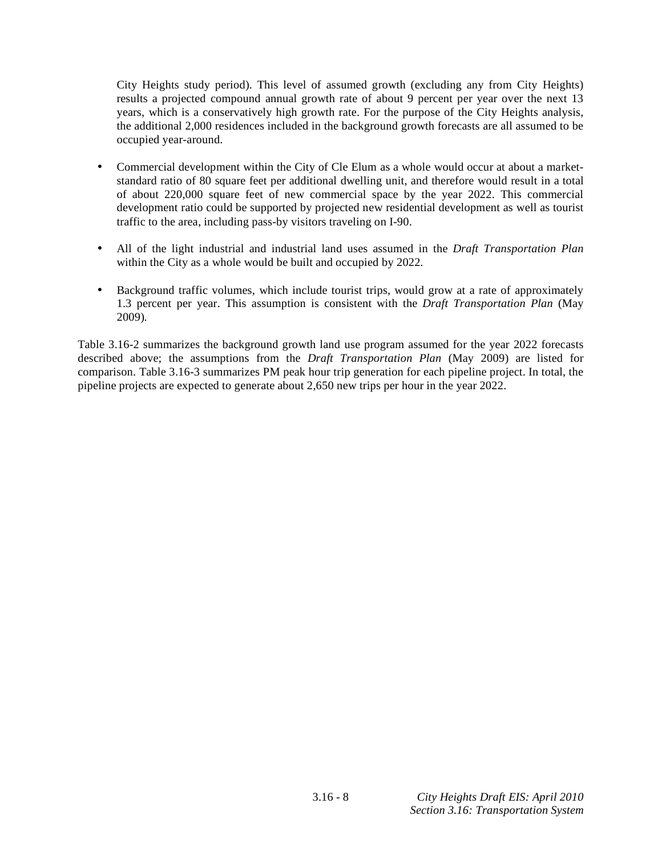City Heights study period). This level of assumed growth (excluding any from City Heights) results a projected compound annual growth rate of about 9 percent per year over the next 13 years, which is a conservatively high growth rate. For the purpose of the City Heights analysis, the additional 2,000 residences included in the background growth forecasts are all assumed to be occupied year-around.

- Commercial development within the City of Cle Elum as a whole would occur at about a marketstandard ratio of 80 square feet per additional dwelling unit, and therefore would result in a total of about 220,000 square feet of new commercial space by the year 2022. This commercial development ratio could be supported by projected new residential development as well as tourist traffic to the area, including pass-by visitors traveling on I-90.
- All of the light industrial and industrial land uses assumed in the *Draft Transportation Plan* within the City as a whole would be built and occupied by 2022*.*
- Background traffic volumes, which include tourist trips, would grow at a rate of approximately 1.3 percent per year. This assumption is consistent with the *Draft Transportation Plan* (May 2009)*.*

Table 3.16-2 summarizes the background growth land use program assumed for the year 2022 forecasts described above; the assumptions from the *Draft Transportation Plan* (May 2009) are listed for comparison. Table 3.16-3 summarizes PM peak hour trip generation for each pipeline project. In total, the pipeline projects are expected to generate about 2,650 new trips per hour in the year 2022.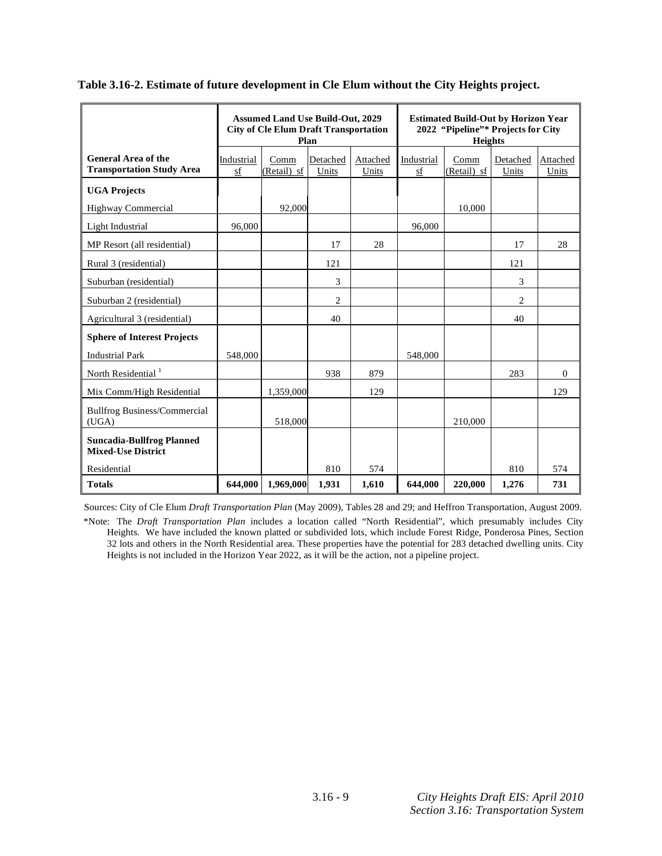|                                                                |                  | <b>Assumed Land Use Build-Out, 2029</b><br><b>City of Cle Elum Draft Transportation</b> | Plan              |                   | <b>Estimated Build-Out by Horizon Year</b><br>2022 "Pipeline"* Projects for City<br><b>Heights</b> |                       |                   |                   |
|----------------------------------------------------------------|------------------|-----------------------------------------------------------------------------------------|-------------------|-------------------|----------------------------------------------------------------------------------------------------|-----------------------|-------------------|-------------------|
| <b>General Area of the</b><br><b>Transportation Study Area</b> | Industrial<br>sf | Comm<br>(Retail) sf                                                                     | Detached<br>Units | Attached<br>Units | Industrial<br>sf                                                                                   | $Comm$<br>(Retail) sf | Detached<br>Units | Attached<br>Units |
| <b>UGA Projects</b>                                            |                  |                                                                                         |                   |                   |                                                                                                    |                       |                   |                   |
| Highway Commercial                                             |                  | 92.000                                                                                  |                   |                   |                                                                                                    | 10,000                |                   |                   |
| Light Industrial                                               | 96,000           |                                                                                         |                   |                   | 96,000                                                                                             |                       |                   |                   |
| MP Resort (all residential)                                    |                  |                                                                                         | 17                | 28                |                                                                                                    |                       | 17                | 28                |
| Rural 3 (residential)                                          |                  |                                                                                         | 121               |                   |                                                                                                    |                       | 121               |                   |
| Suburban (residential)                                         |                  |                                                                                         | 3                 |                   |                                                                                                    |                       | 3                 |                   |
| Suburban 2 (residential)                                       |                  |                                                                                         | $\overline{c}$    |                   |                                                                                                    |                       | $\overline{c}$    |                   |
| Agricultural 3 (residential)                                   |                  |                                                                                         | 40                |                   |                                                                                                    |                       | 40                |                   |
| <b>Sphere of Interest Projects</b>                             |                  |                                                                                         |                   |                   |                                                                                                    |                       |                   |                   |
| <b>Industrial Park</b>                                         | 548,000          |                                                                                         |                   |                   | 548,000                                                                                            |                       |                   |                   |
| North Residential <sup>1</sup>                                 |                  |                                                                                         | 938               | 879               |                                                                                                    |                       | 283               | $\Omega$          |
| Mix Comm/High Residential                                      |                  | 1,359,000                                                                               |                   | 129               |                                                                                                    |                       |                   | 129               |
| <b>Bullfrog Business/Commercial</b><br>(UGA)                   |                  | 518,000                                                                                 |                   |                   |                                                                                                    | 210,000               |                   |                   |
| <b>Suncadia-Bullfrog Planned</b><br><b>Mixed-Use District</b>  |                  |                                                                                         |                   |                   |                                                                                                    |                       |                   |                   |
| Residential                                                    |                  |                                                                                         | 810               | 574               |                                                                                                    |                       | 810               | 574               |
| <b>Totals</b>                                                  | 644,000          | 1,969,000                                                                               | 1,931             | 1,610             | 644,000                                                                                            | 220,000               | 1,276             | 731               |

#### **Table 3.16-2. Estimate of future development in Cle Elum without the City Heights project.**

Sources: City of Cle Elum *Draft Transportation Plan* (May 2009), Tables 28 and 29; and Heffron Transportation, August 2009.

\*Note: The *Draft Transportation Plan* includes a location called "North Residential", which presumably includes City Heights. We have included the known platted or subdivided lots, which include Forest Ridge, Ponderosa Pines, Section 32 lots and others in the North Residential area. These properties have the potential for 283 detached dwelling units. City Heights is not included in the Horizon Year 2022, as it will be the action, not a pipeline project.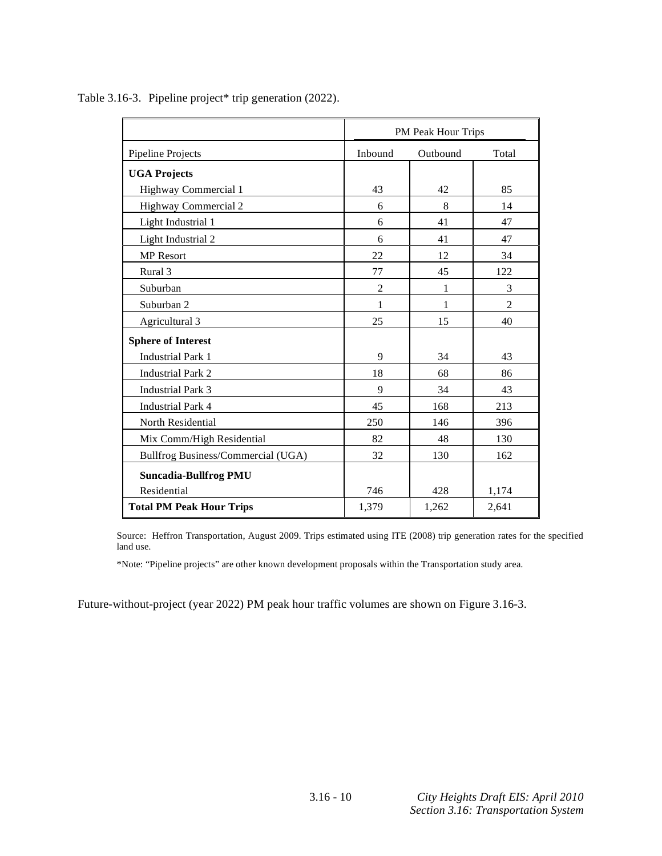|                                    |                | PM Peak Hour Trips |                |
|------------------------------------|----------------|--------------------|----------------|
| Pipeline Projects                  | Inbound        | Outbound           | Total          |
| <b>UGA Projects</b>                |                |                    |                |
| Highway Commercial 1               | 43             | 42                 | 85             |
| Highway Commercial 2               | 6              | 8                  | 14             |
| Light Industrial 1                 | 6              | 41                 | 47             |
| Light Industrial 2                 | 6              | 41                 | 47             |
| <b>MP</b> Resort                   | 22             | 12                 | 34             |
| Rural 3                            | 77             | 45                 | 122            |
| Suburban                           | $\overline{c}$ | 1                  | 3              |
| Suburban 2                         | $\mathbf{1}$   | 1                  | $\overline{c}$ |
| Agricultural 3                     | 25             | 15                 | 40             |
| <b>Sphere of Interest</b>          |                |                    |                |
| <b>Industrial Park 1</b>           | 9              | 34                 | 43             |
| <b>Industrial Park 2</b>           | 18             | 68                 | 86             |
| <b>Industrial Park 3</b>           | 9              | 34                 | 43             |
| <b>Industrial Park 4</b>           | 45             | 168                | 213            |
| North Residential                  | 250            | 146                | 396            |
| Mix Comm/High Residential          | 82             | 48                 | 130            |
| Bullfrog Business/Commercial (UGA) | 32             | 130                | 162            |
| <b>Suncadia-Bullfrog PMU</b>       |                |                    |                |
| Residential                        | 746            | 428                | 1,174          |
| <b>Total PM Peak Hour Trips</b>    | 1,379          | 1,262              | 2,641          |

Table 3.16-3. Pipeline project\* trip generation (2022).

Source: Heffron Transportation, August 2009. Trips estimated using ITE (2008) trip generation rates for the specified land use.

\*Note: "Pipeline projects" are other known development proposals within the Transportation study area.

Future-without-project (year 2022) PM peak hour traffic volumes are shown on Figure 3.16-3.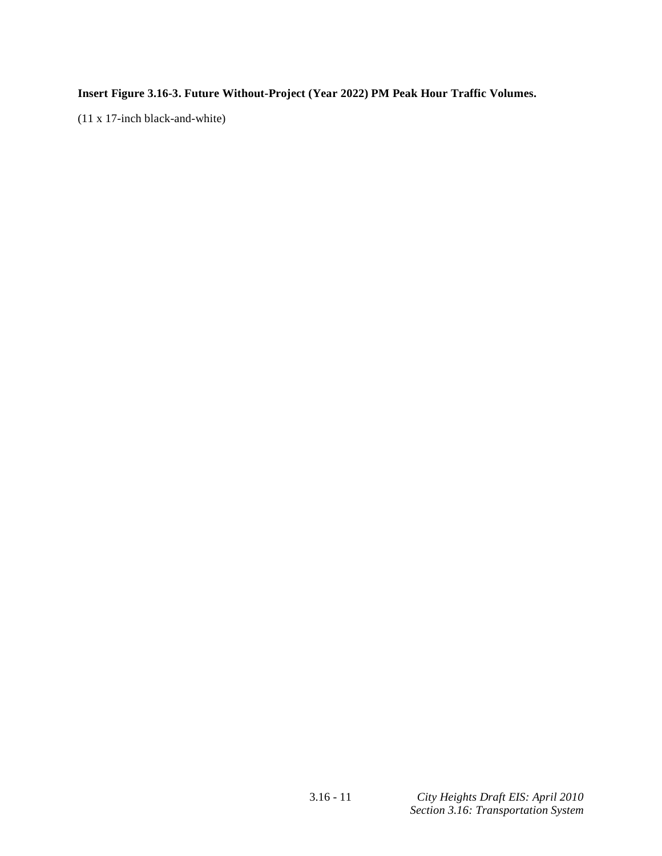**Insert Figure 3.16-3. Future Without-Project (Year 2022) PM Peak Hour Traffic Volumes.** 

(11 x 17-inch black-and-white)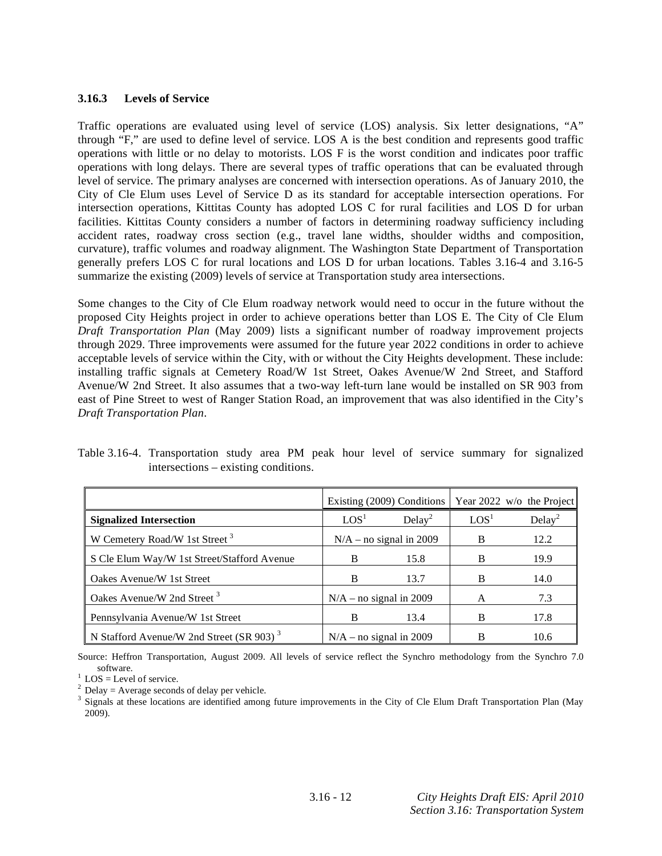### **3.16.3 Levels of Service**

Traffic operations are evaluated using level of service (LOS) analysis. Six letter designations, "A" through "F," are used to define level of service. LOS A is the best condition and represents good traffic operations with little or no delay to motorists. LOS F is the worst condition and indicates poor traffic operations with long delays. There are several types of traffic operations that can be evaluated through level of service. The primary analyses are concerned with intersection operations. As of January 2010, the City of Cle Elum uses Level of Service D as its standard for acceptable intersection operations. For intersection operations, Kittitas County has adopted LOS C for rural facilities and LOS D for urban facilities. Kittitas County considers a number of factors in determining roadway sufficiency including accident rates, roadway cross section (e.g., travel lane widths, shoulder widths and composition, curvature), traffic volumes and roadway alignment. The Washington State Department of Transportation generally prefers LOS C for rural locations and LOS D for urban locations. Tables 3.16-4 and 3.16-5 summarize the existing (2009) levels of service at Transportation study area intersections.

Some changes to the City of Cle Elum roadway network would need to occur in the future without the proposed City Heights project in order to achieve operations better than LOS E. The City of Cle Elum *Draft Transportation Plan* (May 2009) lists a significant number of roadway improvement projects through 2029. Three improvements were assumed for the future year 2022 conditions in order to achieve acceptable levels of service within the City, with or without the City Heights development. These include: installing traffic signals at Cemetery Road/W 1st Street, Oakes Avenue/W 2nd Street, and Stafford Avenue/W 2nd Street. It also assumes that a two-way left-turn lane would be installed on SR 903 from east of Pine Street to west of Ranger Station Road, an improvement that was also identified in the City's *Draft Transportation Plan*.

Table 3.16-4. Transportation study area PM peak hour level of service summary for signalized intersections – existing conditions.

|                                                      | Existing (2009) Conditions |                    |                  | Year 2022 w/o the Project |
|------------------------------------------------------|----------------------------|--------------------|------------------|---------------------------|
| <b>Signalized Intersection</b>                       | LOS <sup>1</sup>           | Delay <sup>2</sup> | LOS <sup>1</sup> | Delay <sup>2</sup>        |
| W Cemetery Road/W 1st Street <sup>3</sup>            | $N/A$ – no signal in 2009  |                    | B                | 12.2                      |
| S Cle Elum Way/W 1st Street/Stafford Avenue          | B                          | 15.8               | B                | 19.9                      |
| Oakes Avenue/W 1st Street                            | B                          | 13.7               | B                | 14.0                      |
| Oakes Avenue/W 2nd Street <sup>3</sup>               | $N/A$ – no signal in 2009  |                    | А                | 7.3                       |
| Pennsylvania Avenue/W 1st Street                     | B                          | 13.4               | B                | 17.8                      |
| N Stafford Avenue/W 2nd Street (SR 903) <sup>3</sup> | $N/A$ – no signal in 2009  |                    |                  | 10.6                      |

Source: Heffron Transportation, August 2009. All levels of service reflect the Synchro methodology from the Synchro 7.0 software.<br> $\frac{1}{1}$  LOS = Level of service.

 $^{2}$  Delay = Average seconds of delay per vehicle.

<sup>3</sup> Signals at these locations are identified among future improvements in the City of Cle Elum Draft Transportation Plan (May 2009).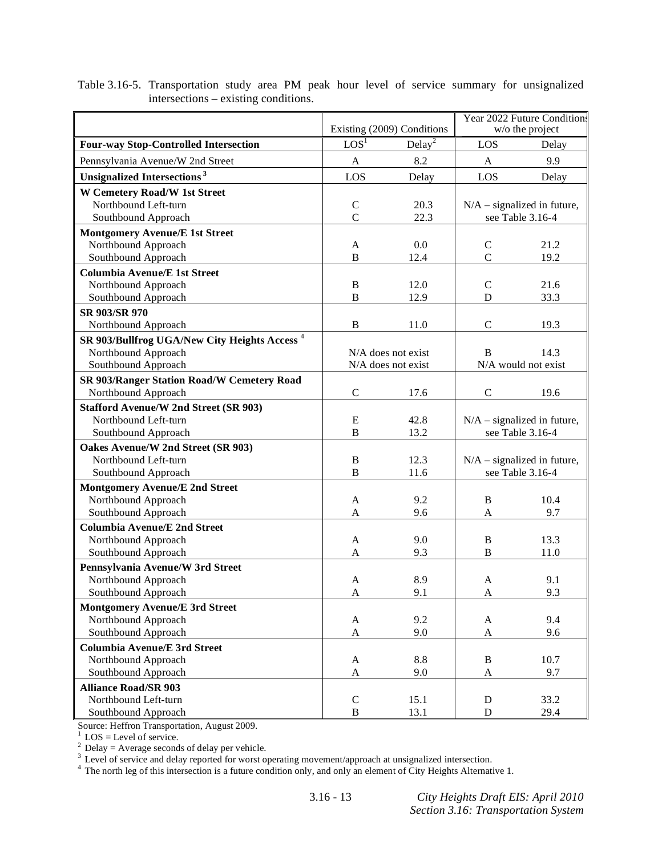|                                                          |                               |                            | Year 2022 Future Conditions |                               |
|----------------------------------------------------------|-------------------------------|----------------------------|-----------------------------|-------------------------------|
|                                                          |                               | Existing (2009) Conditions |                             | w/o the project               |
| <b>Four-way Stop-Controlled Intersection</b>             | $\overline{LOS}$ <sup>1</sup> | Delay <sup>2</sup>         | LOS                         | Delay                         |
| Pennsylvania Avenue/W 2nd Street                         | A                             | 8.2                        | A                           | 9.9                           |
| Unsignalized Intersections <sup>3</sup>                  | LOS                           | Delay                      | LOS                         | Delay                         |
| <b>W Cemetery Road/W 1st Street</b>                      |                               |                            |                             |                               |
| Northbound Left-turn                                     | $\mathcal{C}$                 | 20.3                       |                             | $N/A$ – signalized in future, |
| Southbound Approach                                      | $\overline{C}$                | 22.3                       |                             | see Table 3.16-4              |
| <b>Montgomery Avenue/E 1st Street</b>                    |                               |                            |                             |                               |
| Northbound Approach                                      | A                             | 0.0                        | $\mathsf{C}$                | 21.2                          |
| Southbound Approach                                      | B                             | 12.4                       | $\overline{C}$              | 19.2                          |
| <b>Columbia Avenue/E 1st Street</b>                      |                               |                            |                             |                               |
| Northbound Approach                                      | $\, {\bf B}$                  | 12.0                       | $\mathsf{C}$                | 21.6                          |
| Southbound Approach                                      | $\bf{B}$                      | 12.9                       | D                           | 33.3                          |
| SR 903/SR 970                                            |                               |                            |                             |                               |
| Northbound Approach                                      | B                             | 11.0                       | $\mathcal{C}$               | 19.3                          |
| SR 903/Bullfrog UGA/New City Heights Access <sup>4</sup> |                               |                            |                             |                               |
| Northbound Approach                                      |                               | $N/A$ does not exist       | B                           | 14.3                          |
| Southbound Approach                                      |                               | N/A does not exist         |                             | N/A would not exist           |
| SR 903/Ranger Station Road/W Cemetery Road               |                               |                            |                             |                               |
| Northbound Approach                                      | $\mathcal{C}$                 | 17.6                       | $\mathcal{C}$               | 19.6                          |
| <b>Stafford Avenue/W 2nd Street (SR 903)</b>             |                               |                            |                             |                               |
| Northbound Left-turn                                     | ${\bf E}$                     | 42.8                       |                             | $N/A$ – signalized in future, |
| Southbound Approach                                      | B                             | 13.2                       |                             | see Table 3.16-4              |
| Oakes Avenue/W 2nd Street (SR 903)                       |                               |                            |                             |                               |
| Northbound Left-turn                                     | B                             | 12.3                       |                             | $N/A$ – signalized in future, |
| Southbound Approach                                      | $\bf{B}$                      | 11.6                       |                             | see Table 3.16-4              |
| <b>Montgomery Avenue/E 2nd Street</b>                    |                               |                            |                             |                               |
| Northbound Approach                                      | A                             | 9.2                        | B                           | 10.4                          |
| Southbound Approach                                      | A                             | 9.6                        | A                           | 9.7                           |
| <b>Columbia Avenue/E 2nd Street</b>                      |                               |                            |                             |                               |
| Northbound Approach                                      | A                             | 9.0                        | B                           | 13.3                          |
| Southbound Approach                                      | A                             | 9.3                        | B                           | 11.0                          |
| Pennsylvania Avenue/W 3rd Street                         |                               |                            |                             |                               |
| Northbound Approach                                      | A                             | 8.9                        | A                           | 9.1                           |
| Southbound Approach                                      | A                             | 9.1                        | A                           | 9.3                           |
| <b>Montgomery Avenue/E 3rd Street</b>                    |                               |                            |                             |                               |
| Northbound Approach                                      | A                             | 9.2                        | A                           | 9.4                           |
| Southbound Approach                                      | $\mathbf{A}$                  | 9.0                        | $\mathbf A$                 | 9.6                           |
| <b>Columbia Avenue/E 3rd Street</b>                      |                               |                            |                             |                               |
| Northbound Approach                                      | A                             | 8.8                        | B                           | 10.7                          |
| Southbound Approach                                      | A                             | 9.0                        | A                           | 9.7                           |
| <b>Alliance Road/SR 903</b>                              |                               |                            |                             |                               |
| Northbound Left-turn                                     | $\mathcal{C}$                 | 15.1                       | $\mathbf D$                 | 33.2                          |
| Southbound Approach                                      | $\, {\bf B}$                  | 13.1                       | $\mathbf D$                 | 29.4                          |

Table 3.16-5. Transportation study area PM peak hour level of service summary for unsignalized intersections – existing conditions.

Source: Heffron Transportation, August 2009.<br>
<sup>1</sup> LOS = Level of service.<br>
<sup>2</sup> Delay = Average seconds of delay per vehicle.<br>
<sup>3</sup> Level of service and delay reported for worst operating movement/approach at unsignalized i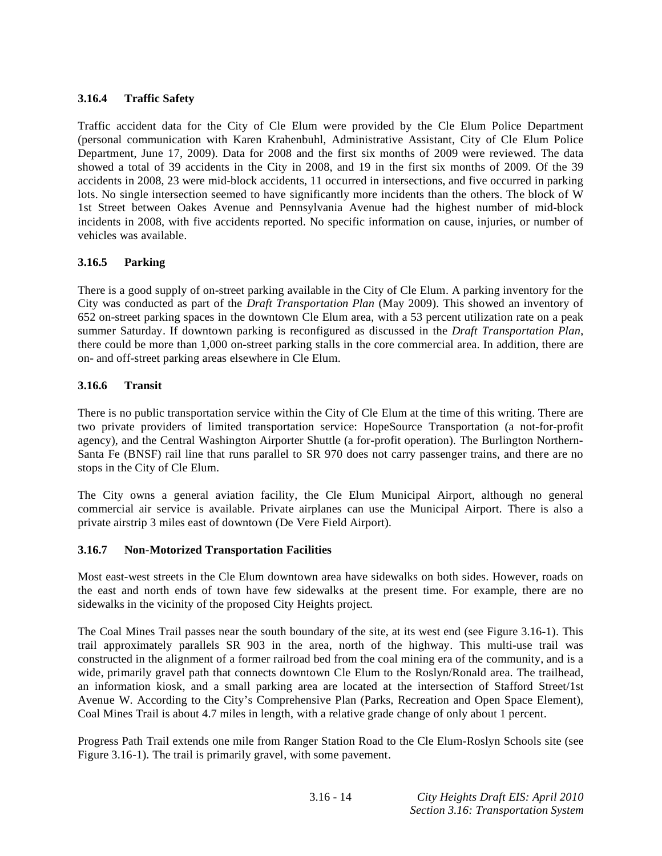# **3.16.4 Traffic Safety**

Traffic accident data for the City of Cle Elum were provided by the Cle Elum Police Department (personal communication with Karen Krahenbuhl, Administrative Assistant, City of Cle Elum Police Department, June 17, 2009). Data for 2008 and the first six months of 2009 were reviewed. The data showed a total of 39 accidents in the City in 2008, and 19 in the first six months of 2009. Of the 39 accidents in 2008, 23 were mid-block accidents, 11 occurred in intersections, and five occurred in parking lots. No single intersection seemed to have significantly more incidents than the others. The block of W 1st Street between Oakes Avenue and Pennsylvania Avenue had the highest number of mid-block incidents in 2008, with five accidents reported. No specific information on cause, injuries, or number of vehicles was available.

## **3.16.5 Parking**

There is a good supply of on-street parking available in the City of Cle Elum. A parking inventory for the City was conducted as part of the *Draft Transportation Plan* (May 2009)*.* This showed an inventory of 652 on-street parking spaces in the downtown Cle Elum area, with a 53 percent utilization rate on a peak summer Saturday. If downtown parking is reconfigured as discussed in the *Draft Transportation Plan*, there could be more than 1,000 on-street parking stalls in the core commercial area. In addition, there are on- and off-street parking areas elsewhere in Cle Elum.

## **3.16.6 Transit**

There is no public transportation service within the City of Cle Elum at the time of this writing. There are two private providers of limited transportation service: HopeSource Transportation (a not-for-profit agency), and the Central Washington Airporter Shuttle (a for-profit operation). The Burlington Northern-Santa Fe (BNSF) rail line that runs parallel to SR 970 does not carry passenger trains, and there are no stops in the City of Cle Elum.

The City owns a general aviation facility, the Cle Elum Municipal Airport, although no general commercial air service is available. Private airplanes can use the Municipal Airport. There is also a private airstrip 3 miles east of downtown (De Vere Field Airport).

## **3.16.7 Non-Motorized Transportation Facilities**

Most east-west streets in the Cle Elum downtown area have sidewalks on both sides. However, roads on the east and north ends of town have few sidewalks at the present time. For example, there are no sidewalks in the vicinity of the proposed City Heights project.

The Coal Mines Trail passes near the south boundary of the site, at its west end (see Figure 3.16-1). This trail approximately parallels SR 903 in the area, north of the highway. This multi-use trail was constructed in the alignment of a former railroad bed from the coal mining era of the community, and is a wide, primarily gravel path that connects downtown Cle Elum to the Roslyn/Ronald area. The trailhead, an information kiosk, and a small parking area are located at the intersection of Stafford Street/1st Avenue W. According to the City's Comprehensive Plan (Parks, Recreation and Open Space Element), Coal Mines Trail is about 4.7 miles in length, with a relative grade change of only about 1 percent.

Progress Path Trail extends one mile from Ranger Station Road to the Cle Elum-Roslyn Schools site (see Figure 3.16-1). The trail is primarily gravel, with some pavement.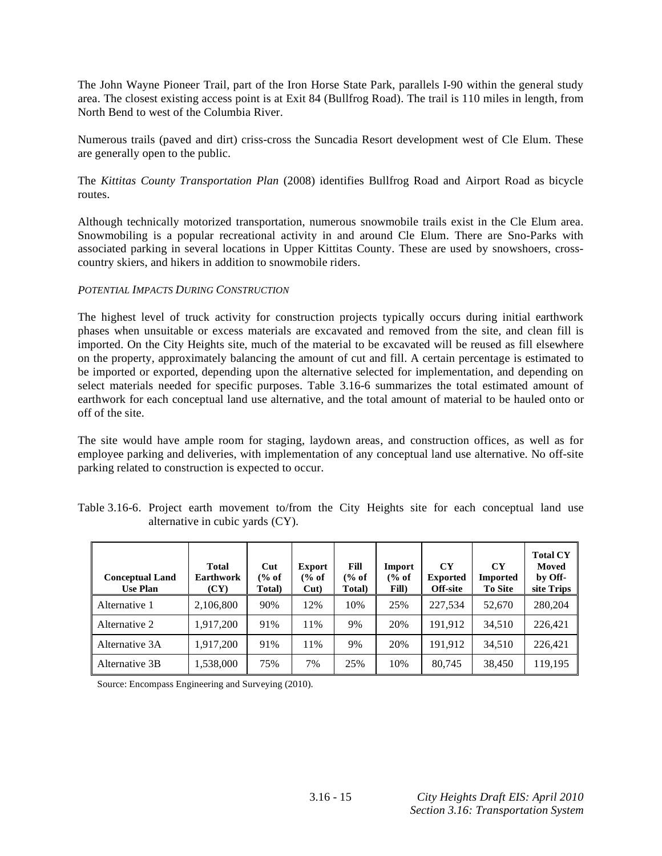The John Wayne Pioneer Trail, part of the Iron Horse State Park, parallels I-90 within the general study area. The closest existing access point is at Exit 84 (Bullfrog Road). The trail is 110 miles in length, from North Bend to west of the Columbia River.

Numerous trails (paved and dirt) criss-cross the Suncadia Resort development west of Cle Elum. These are generally open to the public.

The *Kittitas County Transportation Plan* (2008) identifies Bullfrog Road and Airport Road as bicycle routes.

Although technically motorized transportation, numerous snowmobile trails exist in the Cle Elum area. Snowmobiling is a popular recreational activity in and around Cle Elum. There are Sno-Parks with associated parking in several locations in Upper Kittitas County. These are used by snowshoers, crosscountry skiers, and hikers in addition to snowmobile riders.

### *POTENTIAL IMPACTS DURING CONSTRUCTION*

The highest level of truck activity for construction projects typically occurs during initial earthwork phases when unsuitable or excess materials are excavated and removed from the site, and clean fill is imported. On the City Heights site, much of the material to be excavated will be reused as fill elsewhere on the property, approximately balancing the amount of cut and fill. A certain percentage is estimated to be imported or exported, depending upon the alternative selected for implementation, and depending on select materials needed for specific purposes. Table 3.16-6 summarizes the total estimated amount of earthwork for each conceptual land use alternative, and the total amount of material to be hauled onto or off of the site.

The site would have ample room for staging, laydown areas, and construction offices, as well as for employee parking and deliveries, with implementation of any conceptual land use alternative. No off-site parking related to construction is expected to occur.

| <b>Conceptual Land</b><br><b>Use Plan</b> | <b>Total</b><br><b>Earthwork</b><br>(CY) | Cut<br>(% of<br>Total) | <b>Export</b><br>$\frac{6}{6}$ of<br>$Cut$ ) | Fill<br>$\frac{6}{6}$ of<br>Total) | Import<br>% of<br>Fill) | CY<br><b>Exported</b><br>Off-site | CY<br><b>Imported</b><br>To Site | <b>Total CY</b><br>Moved<br>by Off-<br>site Trips |
|-------------------------------------------|------------------------------------------|------------------------|----------------------------------------------|------------------------------------|-------------------------|-----------------------------------|----------------------------------|---------------------------------------------------|
| Alternative 1                             | 2,106,800                                | 90%                    | 12%                                          | 10%                                | 25%                     | 227.534                           | 52,670                           | 280,204                                           |
| Alternative 2                             | 1,917,200                                | 91%                    | 11%                                          | 9%                                 | 20%                     | 191,912                           | 34.510                           | 226,421                                           |
| Alternative 3A                            | 1,917,200                                | 91%                    | 11%                                          | 9%                                 | 20%                     | 191.912                           | 34.510                           | 226,421                                           |
| Alternative 3B                            | 1,538,000                                | 75%                    | 7%                                           | 25%                                | 10%                     | 80.745                            | 38,450                           | 119,195                                           |

Table 3.16-6. Project earth movement to/from the City Heights site for each conceptual land use alternative in cubic yards (CY).

Source: Encompass Engineering and Surveying (2010).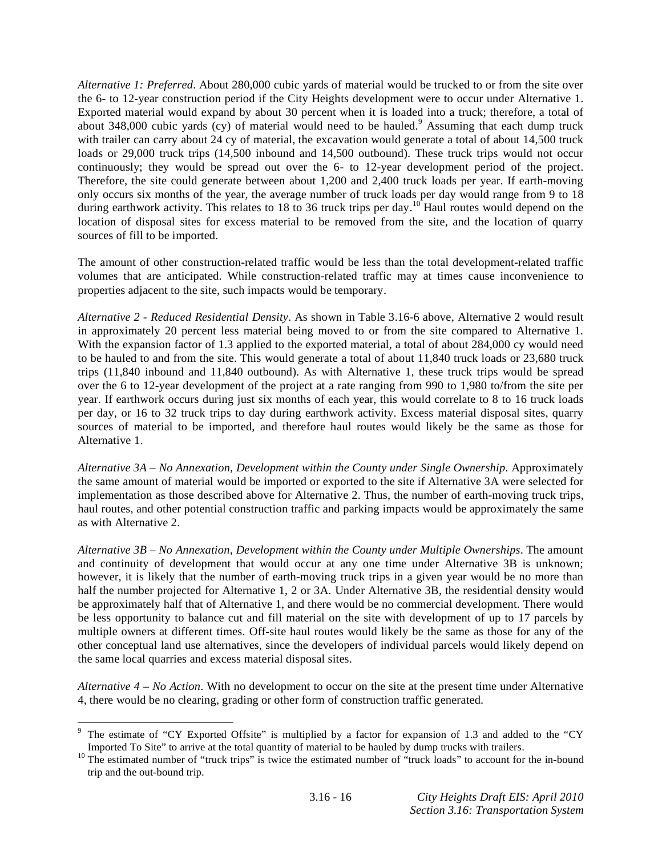*Alternative 1: Preferred*. About 280,000 cubic yards of material would be trucked to or from the site over the 6- to 12-year construction period if the City Heights development were to occur under Alternative 1. Exported material would expand by about 30 percent when it is loaded into a truck; therefore, a total of about 348,000 cubic yards  $(cy)$  of material would need to be hauled.<sup>9</sup> Assuming that each dump truck with trailer can carry about 24 cy of material, the excavation would generate a total of about 14,500 truck loads or 29,000 truck trips (14,500 inbound and 14,500 outbound). These truck trips would not occur continuously; they would be spread out over the 6- to 12-year development period of the project. Therefore, the site could generate between about 1,200 and 2,400 truck loads per year. If earth-moving only occurs six months of the year, the average number of truck loads per day would range from 9 to 18 during earthwork activity. This relates to 18 to 36 truck trips per day.<sup>10</sup> Haul routes would depend on the location of disposal sites for excess material to be removed from the site, and the location of quarry sources of fill to be imported.

The amount of other construction-related traffic would be less than the total development-related traffic volumes that are anticipated. While construction-related traffic may at times cause inconvenience to properties adjacent to the site, such impacts would be temporary.

*Alternative 2 - Reduced Residential Density*. As shown in Table 3.16-6 above, Alternative 2 would result in approximately 20 percent less material being moved to or from the site compared to Alternative 1. With the expansion factor of 1.3 applied to the exported material, a total of about 284,000 cy would need to be hauled to and from the site. This would generate a total of about 11,840 truck loads or 23,680 truck trips (11,840 inbound and 11,840 outbound). As with Alternative 1, these truck trips would be spread over the 6 to 12-year development of the project at a rate ranging from 990 to 1,980 to/from the site per year. If earthwork occurs during just six months of each year, this would correlate to 8 to 16 truck loads per day, or 16 to 32 truck trips to day during earthwork activity. Excess material disposal sites, quarry sources of material to be imported, and therefore haul routes would likely be the same as those for Alternative 1.

*Alternative 3A – No Annexation, Development within the County under Single Ownership*. Approximately the same amount of material would be imported or exported to the site if Alternative 3A were selected for implementation as those described above for Alternative 2. Thus, the number of earth-moving truck trips, haul routes, and other potential construction traffic and parking impacts would be approximately the same as with Alternative 2.

*Alternative 3B – No Annexation, Development within the County under Multiple Ownerships*. The amount and continuity of development that would occur at any one time under Alternative 3B is unknown; however, it is likely that the number of earth-moving truck trips in a given year would be no more than half the number projected for Alternative 1, 2 or 3A. Under Alternative 3B, the residential density would be approximately half that of Alternative 1, and there would be no commercial development. There would be less opportunity to balance cut and fill material on the site with development of up to 17 parcels by multiple owners at different times. Off-site haul routes would likely be the same as those for any of the other conceptual land use alternatives, since the developers of individual parcels would likely depend on the same local quarries and excess material disposal sites.

*Alternative 4 – No Action*. With no development to occur on the site at the present time under Alternative 4, there would be no clearing, grading or other form of construction traffic generated.

1

<sup>&</sup>lt;sup>9</sup> The estimate of "CY Exported Offsite" is multiplied by a factor for expansion of 1.3 and added to the "CY

Imported To Site" to arrive at the total quantity of material to be hauled by dump trucks with trailers. <sup>10</sup> The estimated number of "truck loads" to account for the in-bound  $10$ trip and the out-bound trip.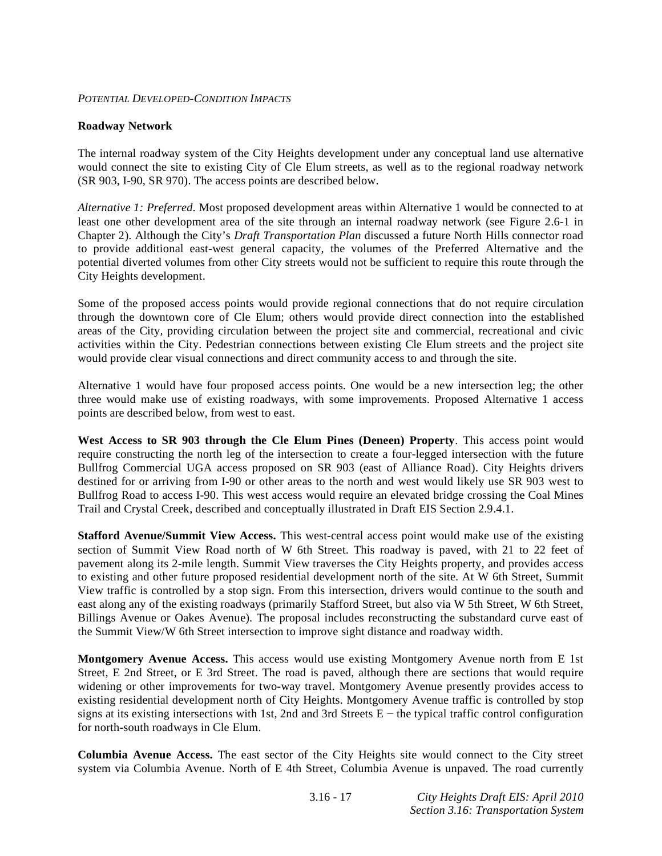### *POTENTIAL DEVELOPED-CONDITION IMPACTS*

### **Roadway Network**

The internal roadway system of the City Heights development under any conceptual land use alternative would connect the site to existing City of Cle Elum streets, as well as to the regional roadway network (SR 903, I-90, SR 970). The access points are described below.

*Alternative 1: Preferred*. Most proposed development areas within Alternative 1 would be connected to at least one other development area of the site through an internal roadway network (see Figure 2.6-1 in Chapter 2). Although the City's *Draft Transportation Plan* discussed a future North Hills connector road to provide additional east-west general capacity, the volumes of the Preferred Alternative and the potential diverted volumes from other City streets would not be sufficient to require this route through the City Heights development.

Some of the proposed access points would provide regional connections that do not require circulation through the downtown core of Cle Elum; others would provide direct connection into the established areas of the City, providing circulation between the project site and commercial, recreational and civic activities within the City. Pedestrian connections between existing Cle Elum streets and the project site would provide clear visual connections and direct community access to and through the site.

Alternative 1 would have four proposed access points. One would be a new intersection leg; the other three would make use of existing roadways, with some improvements. Proposed Alternative 1 access points are described below, from west to east.

**West Access to SR 903 through the Cle Elum Pines (Deneen) Property**. This access point would require constructing the north leg of the intersection to create a four-legged intersection with the future Bullfrog Commercial UGA access proposed on SR 903 (east of Alliance Road). City Heights drivers destined for or arriving from I-90 or other areas to the north and west would likely use SR 903 west to Bullfrog Road to access I-90. This west access would require an elevated bridge crossing the Coal Mines Trail and Crystal Creek, described and conceptually illustrated in Draft EIS Section 2.9.4.1.

**Stafford Avenue/Summit View Access.** This west-central access point would make use of the existing section of Summit View Road north of W 6th Street. This roadway is paved, with 21 to 22 feet of pavement along its 2-mile length. Summit View traverses the City Heights property, and provides access to existing and other future proposed residential development north of the site. At W 6th Street, Summit View traffic is controlled by a stop sign. From this intersection, drivers would continue to the south and east along any of the existing roadways (primarily Stafford Street, but also via W 5th Street, W 6th Street, Billings Avenue or Oakes Avenue). The proposal includes reconstructing the substandard curve east of the Summit View/W 6th Street intersection to improve sight distance and roadway width.

**Montgomery Avenue Access.** This access would use existing Montgomery Avenue north from E 1st Street, E 2nd Street, or E 3rd Street. The road is paved, although there are sections that would require widening or other improvements for two-way travel. Montgomery Avenue presently provides access to existing residential development north of City Heights. Montgomery Avenue traffic is controlled by stop signs at its existing intersections with 1st, 2nd and 3rd Streets  $E$  – the typical traffic control configuration for north-south roadways in Cle Elum.

**Columbia Avenue Access.** The east sector of the City Heights site would connect to the City street system via Columbia Avenue. North of E 4th Street, Columbia Avenue is unpaved. The road currently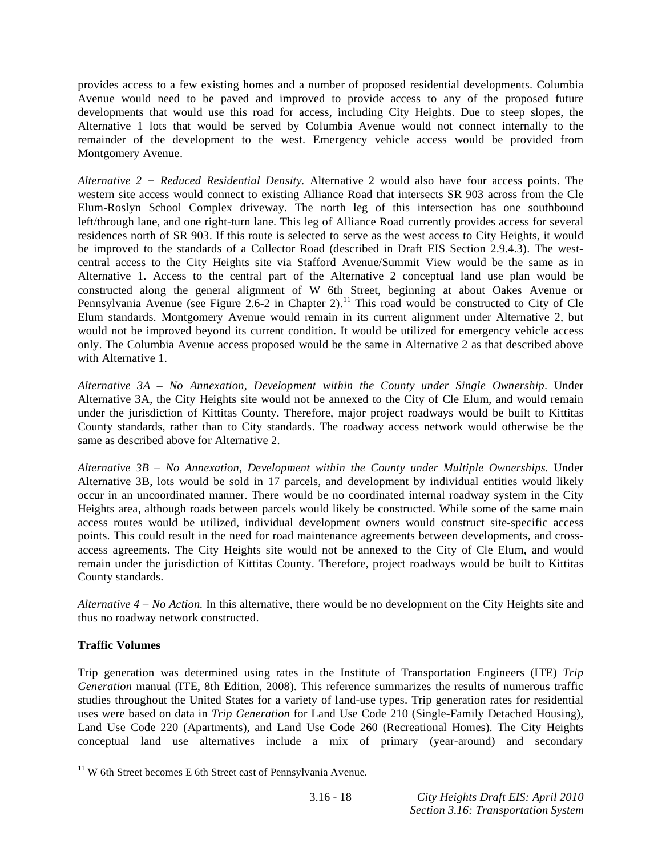provides access to a few existing homes and a number of proposed residential developments. Columbia Avenue would need to be paved and improved to provide access to any of the proposed future developments that would use this road for access, including City Heights. Due to steep slopes, the Alternative 1 lots that would be served by Columbia Avenue would not connect internally to the remainder of the development to the west. Emergency vehicle access would be provided from Montgomery Avenue.

*Alternative 2 Reduced Residential Density.* Alternative 2 would also have four access points. The western site access would connect to existing Alliance Road that intersects SR 903 across from the Cle Elum-Roslyn School Complex driveway. The north leg of this intersection has one southbound left/through lane, and one right-turn lane. This leg of Alliance Road currently provides access for several residences north of SR 903. If this route is selected to serve as the west access to City Heights, it would be improved to the standards of a Collector Road (described in Draft EIS Section 2.9.4.3). The westcentral access to the City Heights site via Stafford Avenue/Summit View would be the same as in Alternative 1. Access to the central part of the Alternative 2 conceptual land use plan would be constructed along the general alignment of W 6th Street, beginning at about Oakes Avenue or Pennsylvania Avenue (see Figure 2.6-2 in Chapter 2).<sup>11</sup> This road would be constructed to City of Cle Elum standards. Montgomery Avenue would remain in its current alignment under Alternative 2, but would not be improved beyond its current condition. It would be utilized for emergency vehicle access only. The Columbia Avenue access proposed would be the same in Alternative 2 as that described above with Alternative 1.

*Alternative 3A – No Annexation, Development within the County under Single Ownership*. Under Alternative 3A, the City Heights site would not be annexed to the City of Cle Elum, and would remain under the jurisdiction of Kittitas County. Therefore, major project roadways would be built to Kittitas County standards, rather than to City standards. The roadway access network would otherwise be the same as described above for Alternative 2.

*Alternative 3B – No Annexation, Development within the County under Multiple Ownerships.* Under Alternative 3B, lots would be sold in 17 parcels, and development by individual entities would likely occur in an uncoordinated manner. There would be no coordinated internal roadway system in the City Heights area, although roads between parcels would likely be constructed. While some of the same main access routes would be utilized, individual development owners would construct site-specific access points. This could result in the need for road maintenance agreements between developments, and crossaccess agreements. The City Heights site would not be annexed to the City of Cle Elum, and would remain under the jurisdiction of Kittitas County. Therefore, project roadways would be built to Kittitas County standards.

*Alternative 4 – No Action.* In this alternative, there would be no development on the City Heights site and thus no roadway network constructed.

## **Traffic Volumes**

1

Trip generation was determined using rates in the Institute of Transportation Engineers (ITE) *Trip Generation* manual (ITE, 8th Edition, 2008). This reference summarizes the results of numerous traffic studies throughout the United States for a variety of land-use types. Trip generation rates for residential uses were based on data in *Trip Generation* for Land Use Code 210 (Single-Family Detached Housing), Land Use Code 220 (Apartments), and Land Use Code 260 (Recreational Homes). The City Heights conceptual land use alternatives include a mix of primary (year-around) and secondary

 $11$  W 6th Street becomes E 6th Street east of Pennsylvania Avenue.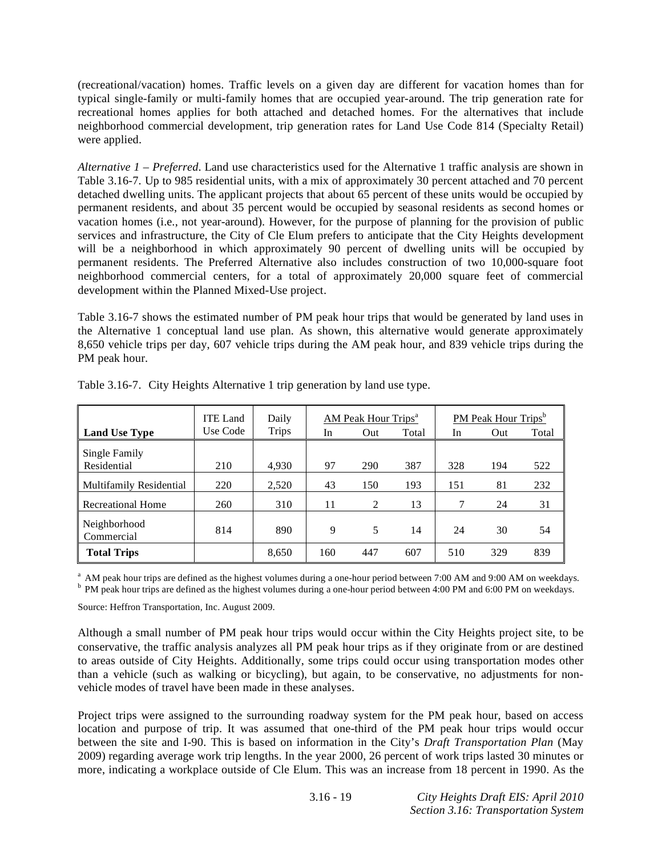(recreational/vacation) homes. Traffic levels on a given day are different for vacation homes than for typical single-family or multi-family homes that are occupied year-around. The trip generation rate for recreational homes applies for both attached and detached homes. For the alternatives that include neighborhood commercial development, trip generation rates for Land Use Code 814 (Specialty Retail) were applied.

*Alternative 1 – Preferred*. Land use characteristics used for the Alternative 1 traffic analysis are shown in Table 3.16-7. Up to 985 residential units, with a mix of approximately 30 percent attached and 70 percent detached dwelling units. The applicant projects that about 65 percent of these units would be occupied by permanent residents, and about 35 percent would be occupied by seasonal residents as second homes or vacation homes (i.e., not year-around). However, for the purpose of planning for the provision of public services and infrastructure, the City of Cle Elum prefers to anticipate that the City Heights development will be a neighborhood in which approximately 90 percent of dwelling units will be occupied by permanent residents. The Preferred Alternative also includes construction of two 10,000-square foot neighborhood commercial centers, for a total of approximately 20,000 square feet of commercial development within the Planned Mixed-Use project.

Table 3.16-7 shows the estimated number of PM peak hour trips that would be generated by land uses in the Alternative 1 conceptual land use plan. As shown, this alternative would generate approximately 8,650 vehicle trips per day, 607 vehicle trips during the AM peak hour, and 839 vehicle trips during the PM peak hour.

|                              | ITE Land | Daily        |     | <b>AM Peak Hour Trips<sup>a</sup></b> |       |     | <b>PM Peak Hour Trips</b> <sup>b</sup> |       |
|------------------------------|----------|--------------|-----|---------------------------------------|-------|-----|----------------------------------------|-------|
| <b>Land Use Type</b>         | Use Code | <b>Trips</b> | In  | Out                                   | Total | In  | Out                                    | Total |
| Single Family<br>Residential | 210      | 4,930        | 97  | 290                                   | 387   | 328 | 194                                    | 522   |
| Multifamily Residential      | 220      | 2,520        | 43  | 150                                   | 193   | 151 | 81                                     | 232   |
| <b>Recreational Home</b>     | 260      | 310          | 11  | 2                                     | 13    | 7   | 24                                     | 31    |
| Neighborhood<br>Commercial   | 814      | 890          | 9   | 5                                     | 14    | 24  | 30                                     | 54    |
| <b>Total Trips</b>           |          | 8,650        | 160 | 447                                   | 607   | 510 | 329                                    | 839   |

Table 3.16-7. City Heights Alternative 1 trip generation by land use type.

<sup>a</sup> AM peak hour trips are defined as the highest volumes during a one-hour period between 7:00 AM and 9:00 AM on weekdays. <sup>b</sup> PM peak hour trips are defined as the highest volumes during a one-hour period between 4:00 PM and 6:00 PM on weekdays.

Source: Heffron Transportation, Inc. August 2009.

Although a small number of PM peak hour trips would occur within the City Heights project site, to be conservative, the traffic analysis analyzes all PM peak hour trips as if they originate from or are destined to areas outside of City Heights. Additionally, some trips could occur using transportation modes other than a vehicle (such as walking or bicycling), but again, to be conservative, no adjustments for nonvehicle modes of travel have been made in these analyses.

Project trips were assigned to the surrounding roadway system for the PM peak hour, based on access location and purpose of trip. It was assumed that one-third of the PM peak hour trips would occur between the site and I-90. This is based on information in the City's *Draft Transportation Plan* (May 2009) regarding average work trip lengths. In the year 2000, 26 percent of work trips lasted 30 minutes or more, indicating a workplace outside of Cle Elum. This was an increase from 18 percent in 1990. As the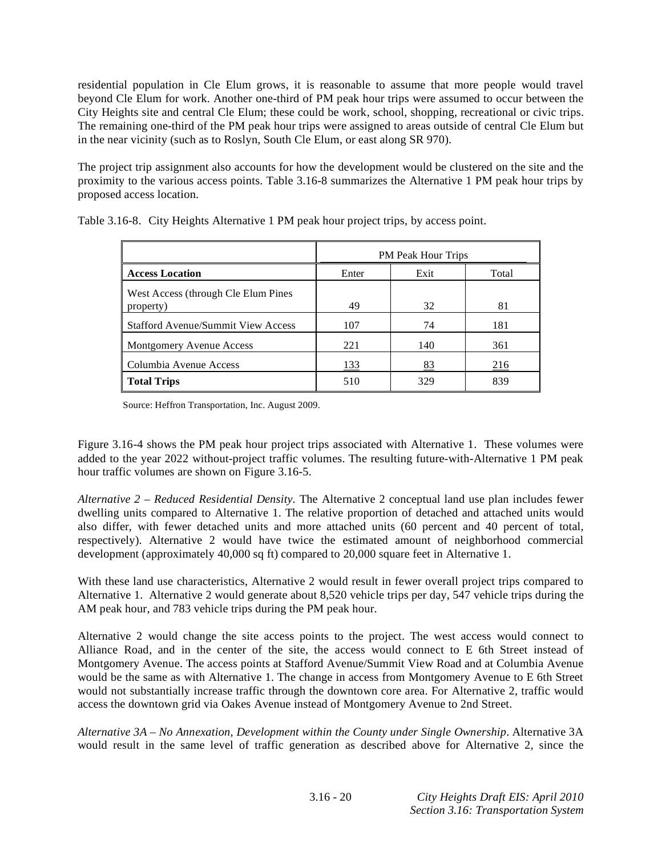residential population in Cle Elum grows, it is reasonable to assume that more people would travel beyond Cle Elum for work. Another one-third of PM peak hour trips were assumed to occur between the City Heights site and central Cle Elum; these could be work, school, shopping, recreational or civic trips. The remaining one-third of the PM peak hour trips were assigned to areas outside of central Cle Elum but in the near vicinity (such as to Roslyn, South Cle Elum, or east along SR 970).

The project trip assignment also accounts for how the development would be clustered on the site and the proximity to the various access points. Table 3.16-8 summarizes the Alternative 1 PM peak hour trips by proposed access location.

|                                                  |       | <b>PM Peak Hour Trips</b> |       |
|--------------------------------------------------|-------|---------------------------|-------|
| <b>Access Location</b>                           | Enter | Exit                      | Total |
| West Access (through Cle Elum Pines<br>property) | 49    | 32                        | 81    |
| <b>Stafford Avenue/Summit View Access</b>        | 107   | 74                        | 181   |
| Montgomery Avenue Access                         | 221   | 140                       | 361   |
| Columbia Avenue Access                           | 133   | 83                        | 216   |
| <b>Total Trips</b>                               | 510   | 329                       | 839   |

Table 3.16-8. City Heights Alternative 1 PM peak hour project trips, by access point.

Source: Heffron Transportation, Inc. August 2009.

Figure 3.16-4 shows the PM peak hour project trips associated with Alternative 1. These volumes were added to the year 2022 without-project traffic volumes. The resulting future-with-Alternative 1 PM peak hour traffic volumes are shown on Figure 3.16-5.

*Alternative 2 – Reduced Residential Density*. The Alternative 2 conceptual land use plan includes fewer dwelling units compared to Alternative 1. The relative proportion of detached and attached units would also differ, with fewer detached units and more attached units (60 percent and 40 percent of total, respectively). Alternative 2 would have twice the estimated amount of neighborhood commercial development (approximately 40,000 sq ft) compared to 20,000 square feet in Alternative 1.

With these land use characteristics, Alternative 2 would result in fewer overall project trips compared to Alternative 1. Alternative 2 would generate about 8,520 vehicle trips per day, 547 vehicle trips during the AM peak hour, and 783 vehicle trips during the PM peak hour.

Alternative 2 would change the site access points to the project. The west access would connect to Alliance Road, and in the center of the site, the access would connect to E 6th Street instead of Montgomery Avenue. The access points at Stafford Avenue/Summit View Road and at Columbia Avenue would be the same as with Alternative 1. The change in access from Montgomery Avenue to E 6th Street would not substantially increase traffic through the downtown core area. For Alternative 2, traffic would access the downtown grid via Oakes Avenue instead of Montgomery Avenue to 2nd Street.

*Alternative 3A – No Annexation, Development within the County under Single Ownership*. Alternative 3A would result in the same level of traffic generation as described above for Alternative 2, since the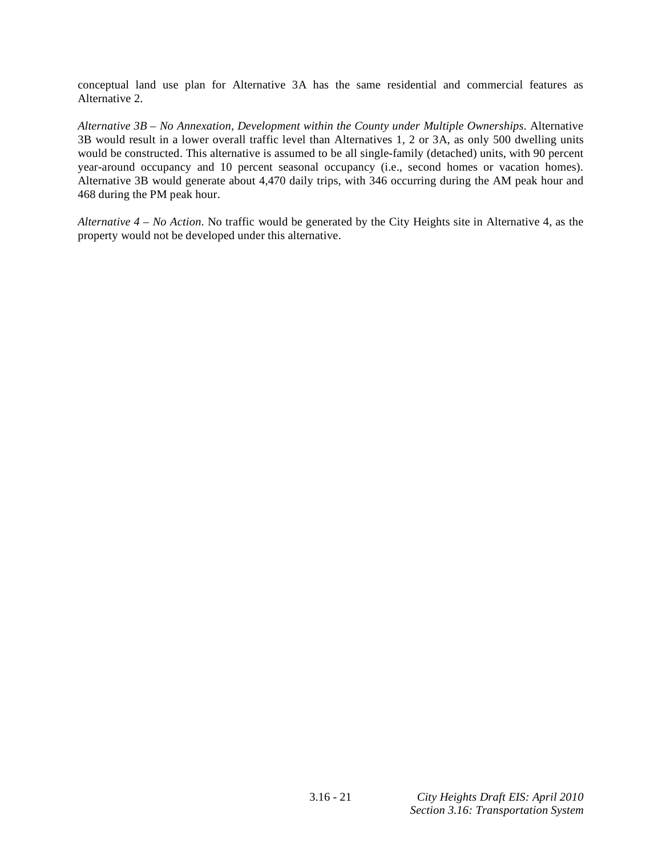conceptual land use plan for Alternative 3A has the same residential and commercial features as Alternative 2.

*Alternative 3B – No Annexation, Development within the County under Multiple Ownerships*. Alternative 3B would result in a lower overall traffic level than Alternatives 1, 2 or 3A, as only 500 dwelling units would be constructed. This alternative is assumed to be all single-family (detached) units, with 90 percent year-around occupancy and 10 percent seasonal occupancy (i.e., second homes or vacation homes). Alternative 3B would generate about 4,470 daily trips, with 346 occurring during the AM peak hour and 468 during the PM peak hour.

*Alternative 4 – No Action*. No traffic would be generated by the City Heights site in Alternative 4, as the property would not be developed under this alternative.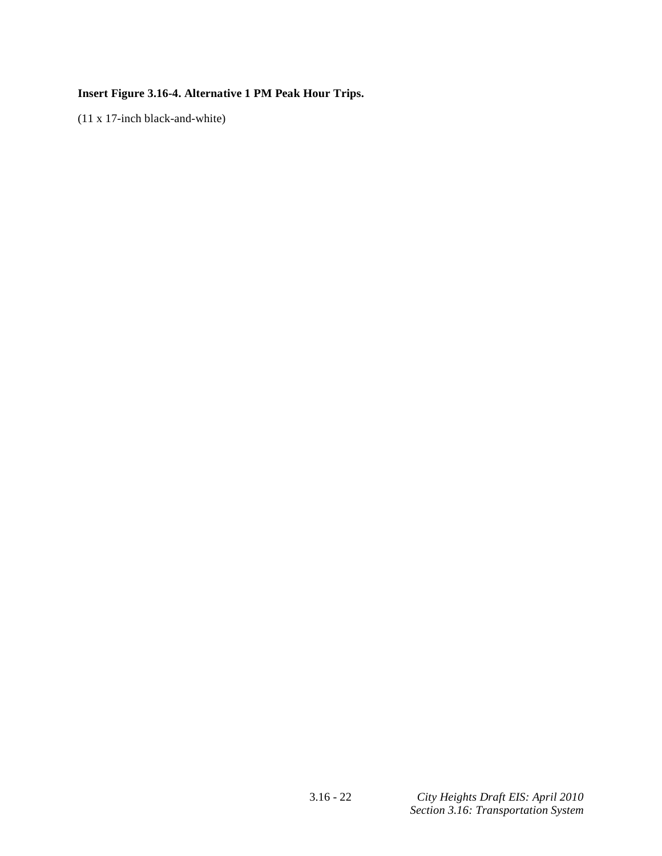# **Insert Figure 3.16-4. Alternative 1 PM Peak Hour Trips.**

(11 x 17-inch black-and-white)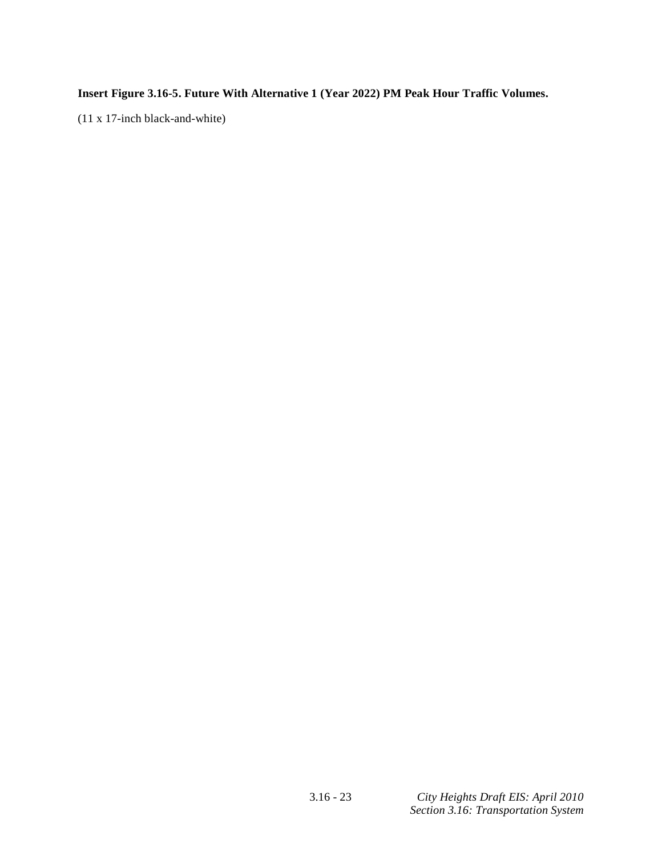**Insert Figure 3.16-5. Future With Alternative 1 (Year 2022) PM Peak Hour Traffic Volumes.** 

(11 x 17-inch black-and-white)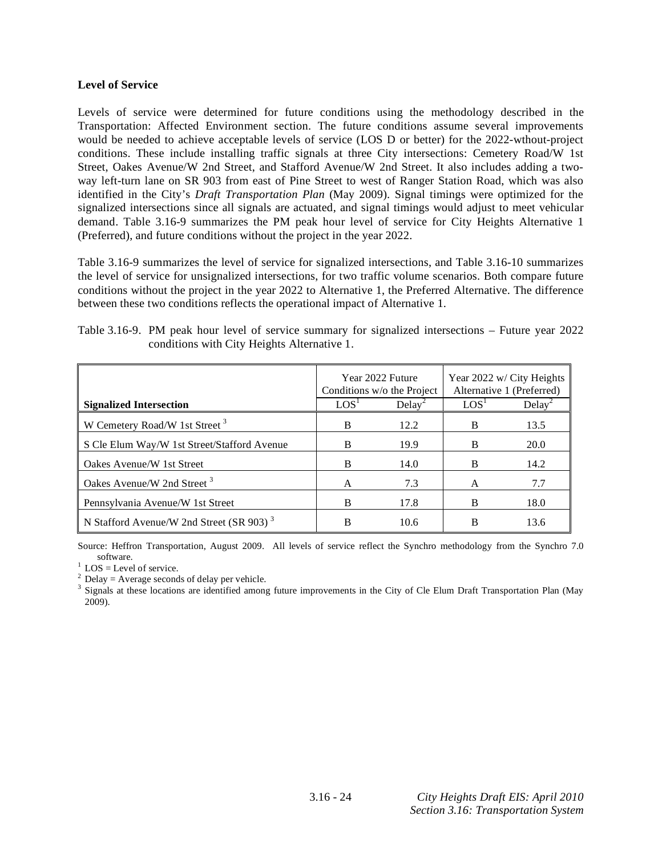#### **Level of Service**

Levels of service were determined for future conditions using the methodology described in the Transportation: Affected Environment section. The future conditions assume several improvements would be needed to achieve acceptable levels of service (LOS D or better) for the 2022-wthout-project conditions. These include installing traffic signals at three City intersections: Cemetery Road/W 1st Street, Oakes Avenue/W 2nd Street, and Stafford Avenue/W 2nd Street. It also includes adding a twoway left-turn lane on SR 903 from east of Pine Street to west of Ranger Station Road, which was also identified in the City's *Draft Transportation Plan* (May 2009). Signal timings were optimized for the signalized intersections since all signals are actuated, and signal timings would adjust to meet vehicular demand. Table 3.16-9 summarizes the PM peak hour level of service for City Heights Alternative 1 (Preferred), and future conditions without the project in the year 2022.

Table 3.16-9 summarizes the level of service for signalized intersections, and Table 3.16-10 summarizes the level of service for unsignalized intersections, for two traffic volume scenarios. Both compare future conditions without the project in the year 2022 to Alternative 1, the Preferred Alternative. The difference between these two conditions reflects the operational impact of Alternative 1.

| conditions with City Heights Alternative 1. |                                                |                                                        |
|---------------------------------------------|------------------------------------------------|--------------------------------------------------------|
|                                             | Year 2022 Future<br>Conditions w/o the Project | Year 2022 w/ City Heights<br>Alternative 1 (Preferred) |

S Cle Elum Way/W 1st Street/Stafford Avenue B 19.9 B 20.0 Oakes Avenue/W 1st Street B 14.0 B 14.2

Pennsylvania Avenue/W 1st Street B 17.8 B 18.0

 $Delay<sup>2</sup>$ 

B 10.6 B 13.6

B 12.2 B 13.5

A 7.3 A 7.7

 $LOS<sup>1</sup>$ 

 $Delay<sup>2</sup>$ 

Table 3.16-9. PM peak hour level of service summary for signalized intersections – Future year 2022  $\cdots$ ith  $C$ ity Heights Alt

Source: Heffron Transportation, August 2009. All levels of service reflect the Synchro methodology from the Synchro 7.0

software.<br> $\frac{1}{1}$  LOS = Level of service.

 $2$  Delay = Average seconds of delay per vehicle.

N Stafford Avenue/W 2nd Street (SR 903)<sup>3</sup>

W Cemetery Road/W 1st Street<sup>3</sup>

Oakes Avenue/W 2nd Street 3

**Signalized Intersection**  $\qquad$  LOS<sup>1</sup>

<sup>3</sup> Signals at these locations are identified among future improvements in the City of Cle Elum Draft Transportation Plan (May 2009).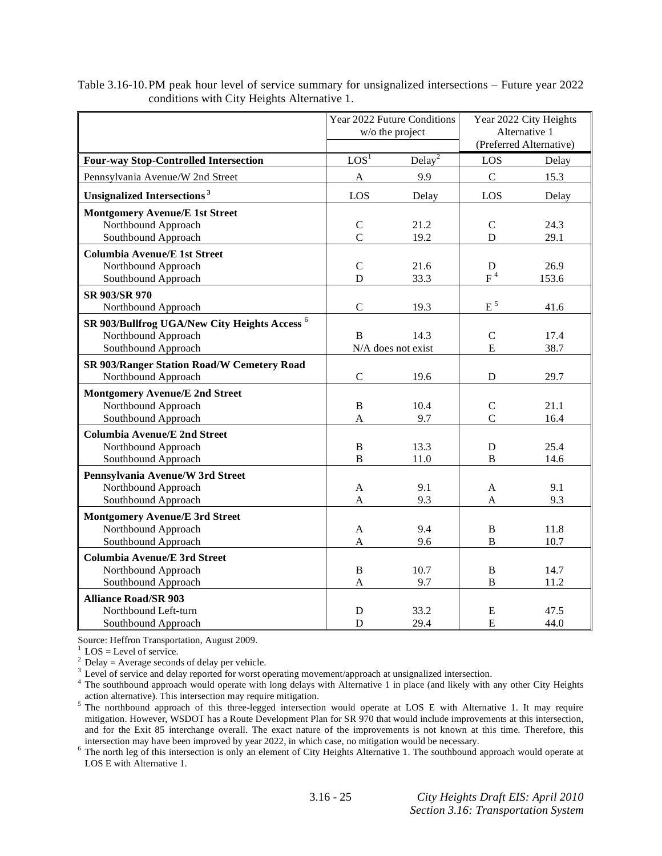|                                                          |                  | Year 2022 Future Conditions<br>w/o the project | Year 2022 City Heights<br>Alternative 1 |                         |  |
|----------------------------------------------------------|------------------|------------------------------------------------|-----------------------------------------|-------------------------|--|
|                                                          |                  |                                                |                                         | (Preferred Alternative) |  |
| <b>Four-way Stop-Controlled Intersection</b>             | LOS <sup>1</sup> | Delay <sup>2</sup>                             | LOS                                     | Delay                   |  |
| Pennsylvania Avenue/W 2nd Street                         | $\mathbf{A}$     | 9.9                                            | $\mathsf{C}$                            | 15.3                    |  |
| <b>Unsignalized Intersections<sup>3</sup></b>            | LOS              | Delay                                          | LOS                                     | Delay                   |  |
| <b>Montgomery Avenue/E 1st Street</b>                    |                  |                                                |                                         |                         |  |
| Northbound Approach                                      | $\mathbf C$      | 21.2                                           | $\mathbf C$                             | 24.3                    |  |
| Southbound Approach                                      | $\overline{C}$   | 19.2                                           | D                                       | 29.1                    |  |
| <b>Columbia Avenue/E 1st Street</b>                      |                  |                                                |                                         |                         |  |
| Northbound Approach                                      | $\mathbf C$      | 21.6                                           | D                                       | 26.9                    |  |
| Southbound Approach                                      | D                | 33.3                                           | $F^4$                                   | 153.6                   |  |
| SR 903/SR 970                                            |                  |                                                |                                         |                         |  |
| Northbound Approach                                      | $\mathsf{C}$     | 19.3                                           | $E^5$                                   | 41.6                    |  |
| SR 903/Bullfrog UGA/New City Heights Access <sup>6</sup> |                  |                                                |                                         |                         |  |
| Northbound Approach                                      | B                | 14.3                                           | $\mathcal{C}$                           | 17.4                    |  |
| Southbound Approach                                      |                  | N/A does not exist                             | E                                       | 38.7                    |  |
| SR 903/Ranger Station Road/W Cemetery Road               |                  |                                                |                                         |                         |  |
| Northbound Approach                                      | $\overline{C}$   | 19.6                                           | D                                       | 29.7                    |  |
| <b>Montgomery Avenue/E 2nd Street</b>                    |                  |                                                |                                         |                         |  |
| Northbound Approach                                      | $\, {\bf B}$     | 10.4                                           | $\mathsf{C}$                            | 21.1                    |  |
| Southbound Approach                                      | A                | 9.7                                            | $\overline{C}$                          | 16.4                    |  |
| <b>Columbia Avenue/E 2nd Street</b>                      |                  |                                                |                                         |                         |  |
| Northbound Approach                                      | $\, {\bf B}$     | 13.3                                           | $\mathbf D$                             | 25.4                    |  |
| Southbound Approach                                      | $\overline{B}$   | 11.0                                           | B                                       | 14.6                    |  |
| Pennsylvania Avenue/W 3rd Street                         |                  |                                                |                                         |                         |  |
| Northbound Approach                                      | A                | 9.1                                            | A                                       | 9.1                     |  |
| Southbound Approach                                      | A                | 9.3                                            | A                                       | 9.3                     |  |
| <b>Montgomery Avenue/E 3rd Street</b>                    |                  |                                                |                                         |                         |  |
| Northbound Approach                                      | A                | 9.4                                            | $\, {\bf B}$                            | 11.8                    |  |
| Southbound Approach                                      | A                | 9.6                                            | $\overline{B}$                          | 10.7                    |  |
| <b>Columbia Avenue/E 3rd Street</b>                      |                  |                                                |                                         |                         |  |
| Northbound Approach                                      | $\, {\bf B}$     | 10.7                                           | $\, {\bf B}$                            | 14.7                    |  |
| Southbound Approach                                      | A                | 9.7                                            | $\overline{B}$                          | 11.2                    |  |
| <b>Alliance Road/SR 903</b>                              |                  |                                                |                                         |                         |  |
| Northbound Left-turn                                     | D                | 33.2                                           | E                                       | 47.5                    |  |
| Southbound Approach                                      | D                | 29.4                                           | E                                       | 44.0                    |  |

Table 3.16-10. PM peak hour level of service summary for unsignalized intersections – Future year 2022 conditions with City Heights Alternative 1.

Source: Heffron Transportation, August 2009.

1 LOS = Level of service.

 $^{2}$  Delay = Average seconds of delay per vehicle.

<sup>3</sup> Level of service and delay reported for worst operating movement/approach at unsignalized intersection.

<sup>4</sup> The southbound approach would operate with long delays with Alternative 1 in place (and likely with any other City Heights action alternative). This intersection may require mitigation.

The northbound approach of this three-legged intersection would operate at LOS E with Alternative 1. It may require mitigation. However, WSDOT has a Route Development Plan for SR 970 that would include improvements at this intersection, and for the Exit 85 interchange overall. The exact nature of the improvements is not known at this time. Therefore, this intersection may have been improved by year 2022, in which case, no mitigation would be necessary.

intersection may have been improved by year 2022, in which case, no mitigation would be necessary.<br><sup>6</sup> The north leg of this intersection is only an element of City Heights Alternative 1. The southbound approach would ope LOS E with Alternative 1.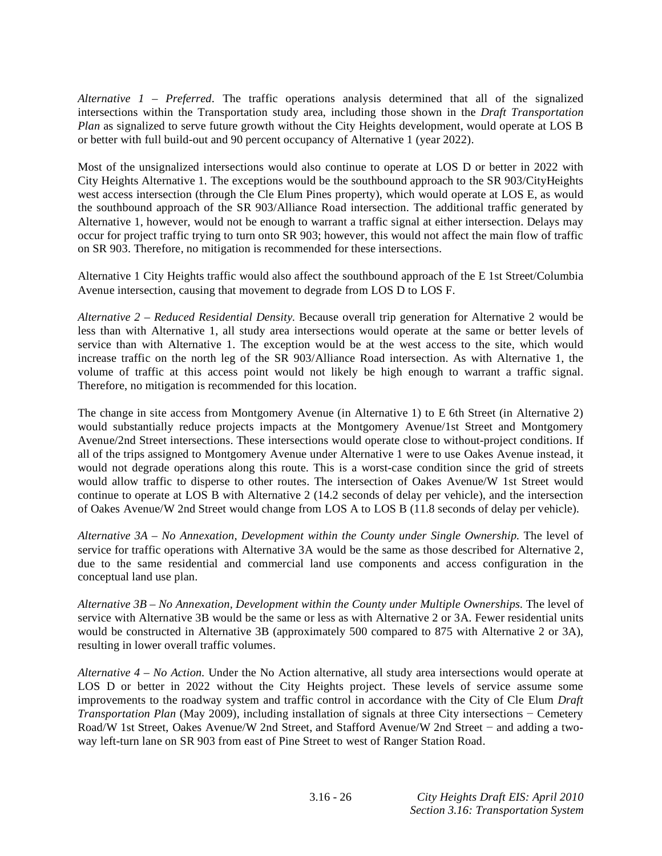*Alternative 1 – Preferred.* The traffic operations analysis determined that all of the signalized intersections within the Transportation study area, including those shown in the *Draft Transportation Plan* as signalized to serve future growth without the City Heights development, would operate at LOS B or better with full build-out and 90 percent occupancy of Alternative 1 (year 2022).

Most of the unsignalized intersections would also continue to operate at LOS D or better in 2022 with City Heights Alternative 1. The exceptions would be the southbound approach to the SR 903/CityHeights west access intersection (through the Cle Elum Pines property), which would operate at LOS E, as would the southbound approach of the SR 903/Alliance Road intersection. The additional traffic generated by Alternative 1, however, would not be enough to warrant a traffic signal at either intersection. Delays may occur for project traffic trying to turn onto SR 903; however, this would not affect the main flow of traffic on SR 903. Therefore, no mitigation is recommended for these intersections.

Alternative 1 City Heights traffic would also affect the southbound approach of the E 1st Street/Columbia Avenue intersection, causing that movement to degrade from LOS D to LOS F.

*Alternative 2 – Reduced Residential Density.* Because overall trip generation for Alternative 2 would be less than with Alternative 1, all study area intersections would operate at the same or better levels of service than with Alternative 1. The exception would be at the west access to the site, which would increase traffic on the north leg of the SR 903/Alliance Road intersection. As with Alternative 1, the volume of traffic at this access point would not likely be high enough to warrant a traffic signal. Therefore, no mitigation is recommended for this location.

The change in site access from Montgomery Avenue (in Alternative 1) to E 6th Street (in Alternative 2) would substantially reduce projects impacts at the Montgomery Avenue/1st Street and Montgomery Avenue/2nd Street intersections. These intersections would operate close to without-project conditions. If all of the trips assigned to Montgomery Avenue under Alternative 1 were to use Oakes Avenue instead, it would not degrade operations along this route. This is a worst-case condition since the grid of streets would allow traffic to disperse to other routes. The intersection of Oakes Avenue/W 1st Street would continue to operate at LOS B with Alternative 2 (14.2 seconds of delay per vehicle), and the intersection of Oakes Avenue/W 2nd Street would change from LOS A to LOS B (11.8 seconds of delay per vehicle).

*Alternative 3A – No Annexation, Development within the County under Single Ownership.* The level of service for traffic operations with Alternative 3A would be the same as those described for Alternative 2, due to the same residential and commercial land use components and access configuration in the conceptual land use plan.

*Alternative 3B – No Annexation, Development within the County under Multiple Ownerships.* The level of service with Alternative 3B would be the same or less as with Alternative 2 or 3A. Fewer residential units would be constructed in Alternative 3B (approximately 500 compared to 875 with Alternative 2 or 3A), resulting in lower overall traffic volumes.

*Alternative 4 – No Action.* Under the No Action alternative, all study area intersections would operate at LOS D or better in 2022 without the City Heights project. These levels of service assume some improvements to the roadway system and traffic control in accordance with the City of Cle Elum *Draft Transportation Plan* (May 2009), including installation of signals at three City intersections - Cemetery Road/W 1st Street, Oakes Avenue/W 2nd Street, and Stafford Avenue/W 2nd Street - and adding a twoway left-turn lane on SR 903 from east of Pine Street to west of Ranger Station Road.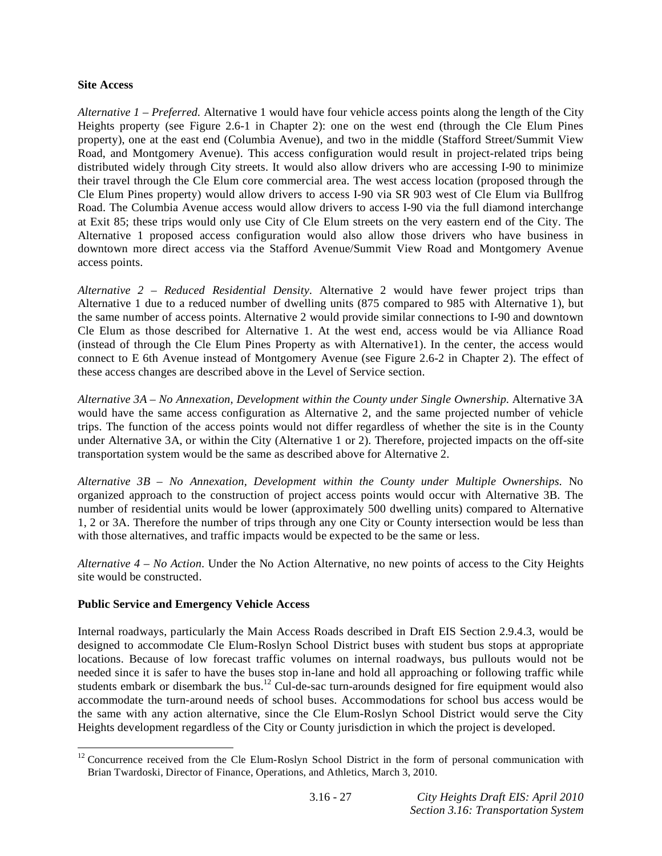#### **Site Access**

*Alternative 1 – Preferred.* Alternative 1 would have four vehicle access points along the length of the City Heights property (see Figure 2.6-1 in Chapter 2): one on the west end (through the Cle Elum Pines property), one at the east end (Columbia Avenue), and two in the middle (Stafford Street/Summit View Road, and Montgomery Avenue). This access configuration would result in project-related trips being distributed widely through City streets. It would also allow drivers who are accessing I-90 to minimize their travel through the Cle Elum core commercial area. The west access location (proposed through the Cle Elum Pines property) would allow drivers to access I-90 via SR 903 west of Cle Elum via Bullfrog Road. The Columbia Avenue access would allow drivers to access I-90 via the full diamond interchange at Exit 85; these trips would only use City of Cle Elum streets on the very eastern end of the City. The Alternative 1 proposed access configuration would also allow those drivers who have business in downtown more direct access via the Stafford Avenue/Summit View Road and Montgomery Avenue access points.

*Alternative 2 – Reduced Residential Density*. Alternative 2 would have fewer project trips than Alternative 1 due to a reduced number of dwelling units (875 compared to 985 with Alternative 1), but the same number of access points. Alternative 2 would provide similar connections to I-90 and downtown Cle Elum as those described for Alternative 1. At the west end, access would be via Alliance Road (instead of through the Cle Elum Pines Property as with Alternative1). In the center, the access would connect to E 6th Avenue instead of Montgomery Avenue (see Figure 2.6-2 in Chapter 2). The effect of these access changes are described above in the Level of Service section.

*Alternative 3A – No Annexation, Development within the County under Single Ownership.* Alternative 3A would have the same access configuration as Alternative 2, and the same projected number of vehicle trips. The function of the access points would not differ regardless of whether the site is in the County under Alternative 3A, or within the City (Alternative 1 or 2). Therefore, projected impacts on the off-site transportation system would be the same as described above for Alternative 2.

*Alternative 3B – No Annexation, Development within the County under Multiple Ownerships.* No organized approach to the construction of project access points would occur with Alternative 3B. The number of residential units would be lower (approximately 500 dwelling units) compared to Alternative 1, 2 or 3A. Therefore the number of trips through any one City or County intersection would be less than with those alternatives, and traffic impacts would be expected to be the same or less.

*Alternative 4 – No Action*. Under the No Action Alternative, no new points of access to the City Heights site would be constructed.

### **Public Service and Emergency Vehicle Access**

<u>.</u>

Internal roadways, particularly the Main Access Roads described in Draft EIS Section 2.9.4.3, would be designed to accommodate Cle Elum-Roslyn School District buses with student bus stops at appropriate locations. Because of low forecast traffic volumes on internal roadways, bus pullouts would not be needed since it is safer to have the buses stop in-lane and hold all approaching or following traffic while students embark or disembark the bus.<sup>12</sup> Cul-de-sac turn-arounds designed for fire equipment would also accommodate the turn-around needs of school buses. Accommodations for school bus access would be the same with any action alternative, since the Cle Elum-Roslyn School District would serve the City Heights development regardless of the City or County jurisdiction in which the project is developed.

 $12$  Concurrence received from the Cle Elum-Roslyn School District in the form of personal communication with Brian Twardoski, Director of Finance, Operations, and Athletics, March 3, 2010.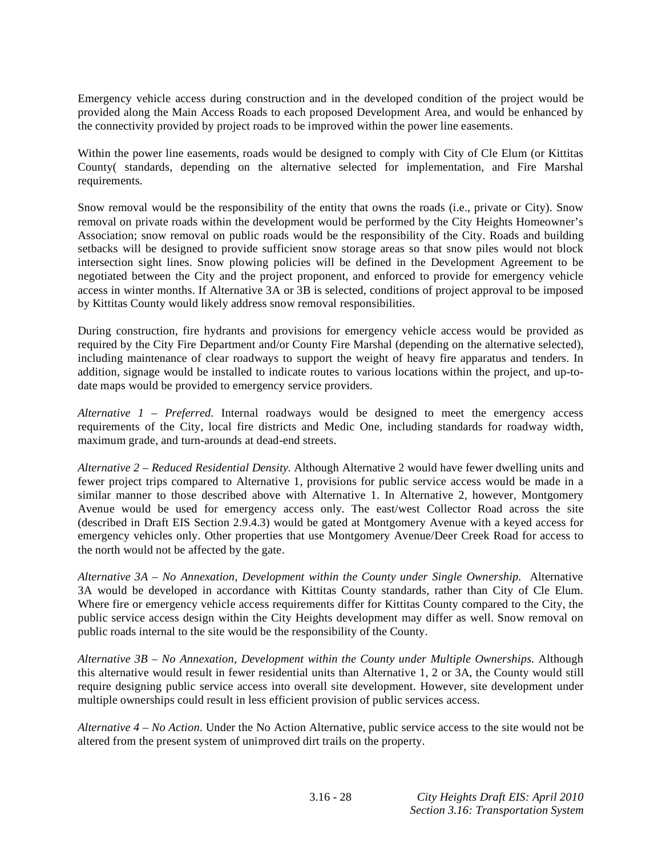Emergency vehicle access during construction and in the developed condition of the project would be provided along the Main Access Roads to each proposed Development Area, and would be enhanced by the connectivity provided by project roads to be improved within the power line easements.

Within the power line easements, roads would be designed to comply with City of Cle Elum (or Kittitas County( standards, depending on the alternative selected for implementation, and Fire Marshal requirements.

Snow removal would be the responsibility of the entity that owns the roads (i.e., private or City). Snow removal on private roads within the development would be performed by the City Heights Homeowner's Association; snow removal on public roads would be the responsibility of the City. Roads and building setbacks will be designed to provide sufficient snow storage areas so that snow piles would not block intersection sight lines. Snow plowing policies will be defined in the Development Agreement to be negotiated between the City and the project proponent, and enforced to provide for emergency vehicle access in winter months. If Alternative 3A or 3B is selected, conditions of project approval to be imposed by Kittitas County would likely address snow removal responsibilities.

During construction, fire hydrants and provisions for emergency vehicle access would be provided as required by the City Fire Department and/or County Fire Marshal (depending on the alternative selected), including maintenance of clear roadways to support the weight of heavy fire apparatus and tenders. In addition, signage would be installed to indicate routes to various locations within the project, and up-todate maps would be provided to emergency service providers.

*Alternative 1 – Preferred.* Internal roadways would be designed to meet the emergency access requirements of the City, local fire districts and Medic One, including standards for roadway width, maximum grade, and turn-arounds at dead-end streets.

*Alternative 2 – Reduced Residential Density.* Although Alternative 2 would have fewer dwelling units and fewer project trips compared to Alternative 1, provisions for public service access would be made in a similar manner to those described above with Alternative 1. In Alternative 2, however, Montgomery Avenue would be used for emergency access only. The east/west Collector Road across the site (described in Draft EIS Section 2.9.4.3) would be gated at Montgomery Avenue with a keyed access for emergency vehicles only. Other properties that use Montgomery Avenue/Deer Creek Road for access to the north would not be affected by the gate.

*Alternative 3A – No Annexation, Development within the County under Single Ownership.* Alternative 3A would be developed in accordance with Kittitas County standards, rather than City of Cle Elum. Where fire or emergency vehicle access requirements differ for Kittitas County compared to the City, the public service access design within the City Heights development may differ as well. Snow removal on public roads internal to the site would be the responsibility of the County.

*Alternative 3B – No Annexation, Development within the County under Multiple Ownerships.* Although this alternative would result in fewer residential units than Alternative 1, 2 or 3A, the County would still require designing public service access into overall site development. However, site development under multiple ownerships could result in less efficient provision of public services access.

*Alternative 4 – No Action*. Under the No Action Alternative, public service access to the site would not be altered from the present system of unimproved dirt trails on the property.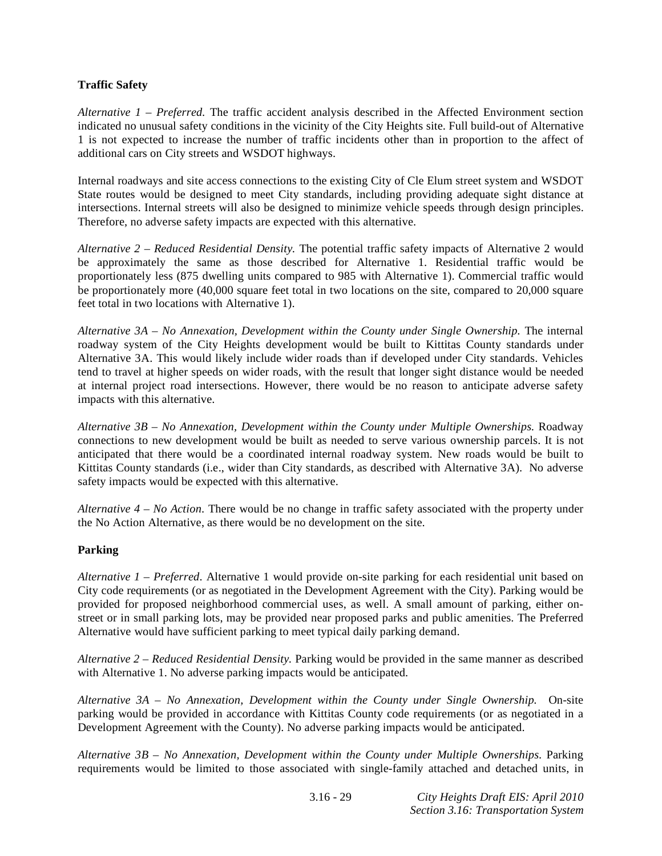### **Traffic Safety**

*Alternative 1 – Preferred.* The traffic accident analysis described in the Affected Environment section indicated no unusual safety conditions in the vicinity of the City Heights site. Full build-out of Alternative 1 is not expected to increase the number of traffic incidents other than in proportion to the affect of additional cars on City streets and WSDOT highways.

Internal roadways and site access connections to the existing City of Cle Elum street system and WSDOT State routes would be designed to meet City standards, including providing adequate sight distance at intersections. Internal streets will also be designed to minimize vehicle speeds through design principles. Therefore, no adverse safety impacts are expected with this alternative.

*Alternative 2 – Reduced Residential Density.* The potential traffic safety impacts of Alternative 2 would be approximately the same as those described for Alternative 1. Residential traffic would be proportionately less (875 dwelling units compared to 985 with Alternative 1). Commercial traffic would be proportionately more (40,000 square feet total in two locations on the site, compared to 20,000 square feet total in two locations with Alternative 1).

*Alternative 3A – No Annexation, Development within the County under Single Ownership.* The internal roadway system of the City Heights development would be built to Kittitas County standards under Alternative 3A. This would likely include wider roads than if developed under City standards. Vehicles tend to travel at higher speeds on wider roads, with the result that longer sight distance would be needed at internal project road intersections. However, there would be no reason to anticipate adverse safety impacts with this alternative.

*Alternative 3B – No Annexation, Development within the County under Multiple Ownerships.* Roadway connections to new development would be built as needed to serve various ownership parcels. It is not anticipated that there would be a coordinated internal roadway system. New roads would be built to Kittitas County standards (i.e., wider than City standards, as described with Alternative 3A). No adverse safety impacts would be expected with this alternative.

*Alternative 4 – No Action*. There would be no change in traffic safety associated with the property under the No Action Alternative, as there would be no development on the site.

### **Parking**

*Alternative 1 – Preferred.* Alternative 1 would provide on-site parking for each residential unit based on City code requirements (or as negotiated in the Development Agreement with the City). Parking would be provided for proposed neighborhood commercial uses, as well. A small amount of parking, either onstreet or in small parking lots, may be provided near proposed parks and public amenities. The Preferred Alternative would have sufficient parking to meet typical daily parking demand.

*Alternative 2 – Reduced Residential Density.* Parking would be provided in the same manner as described with Alternative 1. No adverse parking impacts would be anticipated.

*Alternative 3A – No Annexation, Development within the County under Single Ownership.* On-site parking would be provided in accordance with Kittitas County code requirements (or as negotiated in a Development Agreement with the County). No adverse parking impacts would be anticipated.

*Alternative 3B – No Annexation, Development within the County under Multiple Ownerships.* Parking requirements would be limited to those associated with single-family attached and detached units, in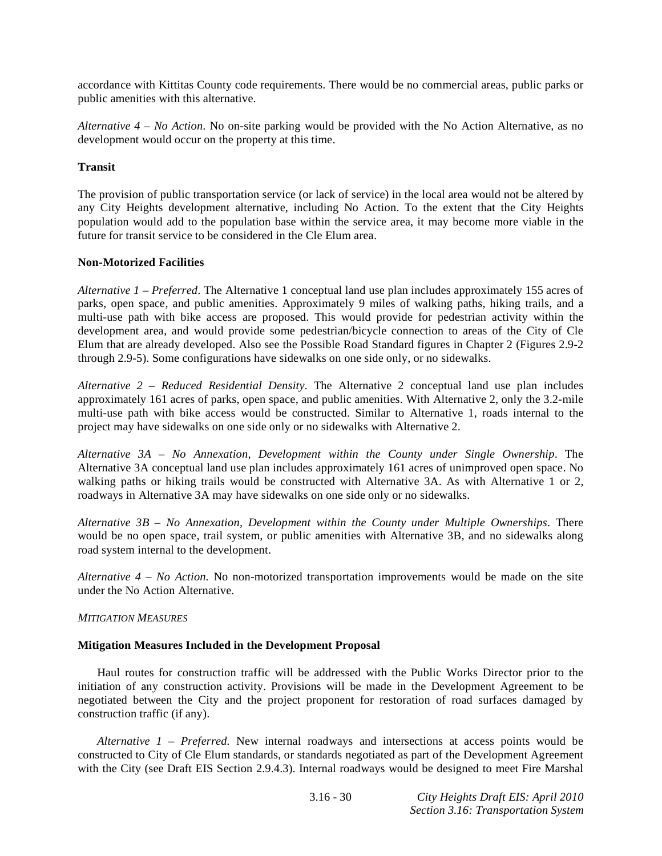accordance with Kittitas County code requirements. There would be no commercial areas, public parks or public amenities with this alternative.

*Alternative 4 – No Action*. No on-site parking would be provided with the No Action Alternative, as no development would occur on the property at this time.

### **Transit**

The provision of public transportation service (or lack of service) in the local area would not be altered by any City Heights development alternative, including No Action. To the extent that the City Heights population would add to the population base within the service area, it may become more viable in the future for transit service to be considered in the Cle Elum area.

### **Non-Motorized Facilities**

*Alternative 1 – Preferred*. The Alternative 1 conceptual land use plan includes approximately 155 acres of parks, open space, and public amenities. Approximately 9 miles of walking paths, hiking trails, and a multi-use path with bike access are proposed. This would provide for pedestrian activity within the development area, and would provide some pedestrian/bicycle connection to areas of the City of Cle Elum that are already developed. Also see the Possible Road Standard figures in Chapter 2 (Figures 2.9-2 through 2.9-5). Some configurations have sidewalks on one side only, or no sidewalks.

*Alternative 2 – Reduced Residential Density*. The Alternative 2 conceptual land use plan includes approximately 161 acres of parks, open space, and public amenities. With Alternative 2, only the 3.2-mile multi-use path with bike access would be constructed. Similar to Alternative 1, roads internal to the project may have sidewalks on one side only or no sidewalks with Alternative 2.

*Alternative 3A – No Annexation, Development within the County under Single Ownership*. The Alternative 3A conceptual land use plan includes approximately 161 acres of unimproved open space. No walking paths or hiking trails would be constructed with Alternative 3A. As with Alternative 1 or 2, roadways in Alternative 3A may have sidewalks on one side only or no sidewalks.

*Alternative 3B – No Annexation, Development within the County under Multiple Ownerships*. There would be no open space, trail system, or public amenities with Alternative 3B, and no sidewalks along road system internal to the development.

*Alternative 4 – No Action.* No non-motorized transportation improvements would be made on the site under the No Action Alternative.

### *MITIGATION MEASURES*

### **Mitigation Measures Included in the Development Proposal**

 Haul routes for construction traffic will be addressed with the Public Works Director prior to the initiation of any construction activity. Provisions will be made in the Development Agreement to be negotiated between the City and the project proponent for restoration of road surfaces damaged by construction traffic (if any).

*Alternative 1 – Preferred.* New internal roadways and intersections at access points would be constructed to City of Cle Elum standards, or standards negotiated as part of the Development Agreement with the City (see Draft EIS Section 2.9.4.3). Internal roadways would be designed to meet Fire Marshal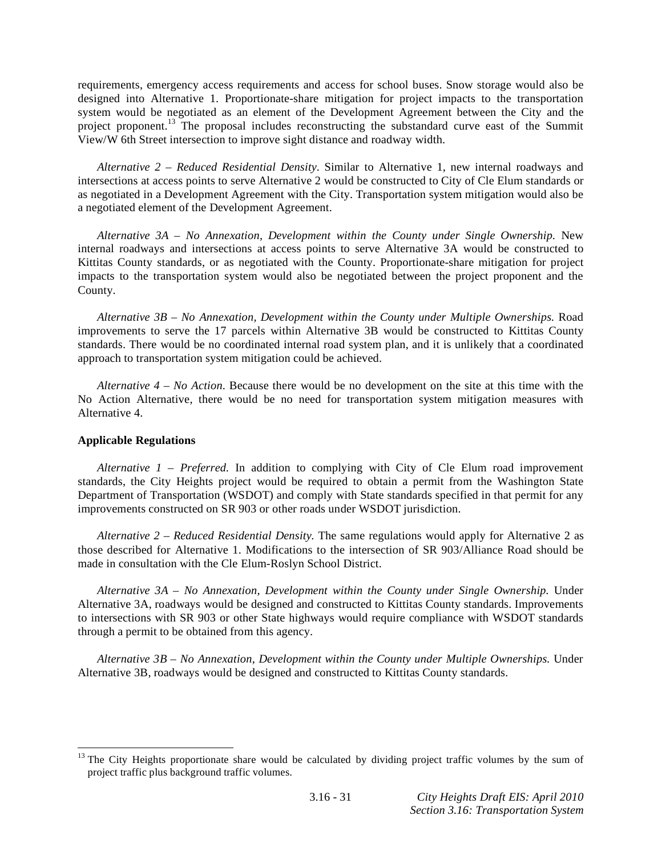requirements, emergency access requirements and access for school buses. Snow storage would also be designed into Alternative 1. Proportionate-share mitigation for project impacts to the transportation system would be negotiated as an element of the Development Agreement between the City and the project proponent.<sup>13</sup> The proposal includes reconstructing the substandard curve east of the Summit View/W 6th Street intersection to improve sight distance and roadway width.

*Alternative 2 – Reduced Residential Density*. Similar to Alternative 1, new internal roadways and intersections at access points to serve Alternative 2 would be constructed to City of Cle Elum standards or as negotiated in a Development Agreement with the City. Transportation system mitigation would also be a negotiated element of the Development Agreement.

*Alternative 3A – No Annexation, Development within the County under Single Ownership.* New internal roadways and intersections at access points to serve Alternative 3A would be constructed to Kittitas County standards, or as negotiated with the County. Proportionate-share mitigation for project impacts to the transportation system would also be negotiated between the project proponent and the County.

*Alternative 3B – No Annexation, Development within the County under Multiple Ownerships.* Road improvements to serve the 17 parcels within Alternative 3B would be constructed to Kittitas County standards. There would be no coordinated internal road system plan, and it is unlikely that a coordinated approach to transportation system mitigation could be achieved.

*Alternative 4 – No Action*. Because there would be no development on the site at this time with the No Action Alternative, there would be no need for transportation system mitigation measures with Alternative 4.

### **Applicable Regulations**

 $\overline{a}$ 

*Alternative*  $1$  *– Preferred.* In addition to complying with City of Cle Elum road improvement standards, the City Heights project would be required to obtain a permit from the Washington State Department of Transportation (WSDOT) and comply with State standards specified in that permit for any improvements constructed on SR 903 or other roads under WSDOT jurisdiction.

*Alternative 2 – Reduced Residential Density.* The same regulations would apply for Alternative 2 as those described for Alternative 1. Modifications to the intersection of SR 903/Alliance Road should be made in consultation with the Cle Elum-Roslyn School District.

*Alternative 3A – No Annexation, Development within the County under Single Ownership.* Under Alternative 3A, roadways would be designed and constructed to Kittitas County standards. Improvements to intersections with SR 903 or other State highways would require compliance with WSDOT standards through a permit to be obtained from this agency.

*Alternative 3B – No Annexation, Development within the County under Multiple Ownerships.* Under Alternative 3B, roadways would be designed and constructed to Kittitas County standards.

 $13$  The City Heights proportionate share would be calculated by dividing project traffic volumes by the sum of project traffic plus background traffic volumes.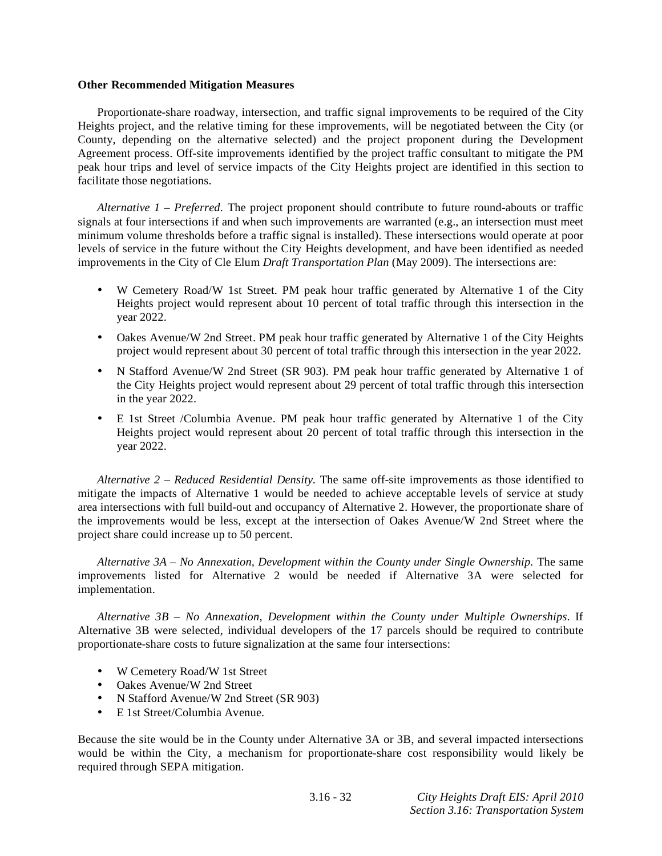#### **Other Recommended Mitigation Measures**

 Proportionate-share roadway, intersection, and traffic signal improvements to be required of the City Heights project, and the relative timing for these improvements, will be negotiated between the City (or County, depending on the alternative selected) and the project proponent during the Development Agreement process. Off-site improvements identified by the project traffic consultant to mitigate the PM peak hour trips and level of service impacts of the City Heights project are identified in this section to facilitate those negotiations.

*Alternative 1 – Preferred.* The project proponent should contribute to future round-abouts or traffic signals at four intersections if and when such improvements are warranted (e.g., an intersection must meet minimum volume thresholds before a traffic signal is installed). These intersections would operate at poor levels of service in the future without the City Heights development, and have been identified as needed improvements in the City of Cle Elum *Draft Transportation Plan* (May 2009). The intersections are:

- W Cemetery Road/W 1st Street. PM peak hour traffic generated by Alternative 1 of the City Heights project would represent about 10 percent of total traffic through this intersection in the year 2022.
- Oakes Avenue/W 2nd Street. PM peak hour traffic generated by Alternative 1 of the City Heights project would represent about 30 percent of total traffic through this intersection in the year 2022.
- N Stafford Avenue/W 2nd Street (SR 903). PM peak hour traffic generated by Alternative 1 of the City Heights project would represent about 29 percent of total traffic through this intersection in the year 2022.
- E 1st Street /Columbia Avenue. PM peak hour traffic generated by Alternative 1 of the City Heights project would represent about 20 percent of total traffic through this intersection in the year 2022.

*Alternative 2 – Reduced Residential Density.* The same off-site improvements as those identified to mitigate the impacts of Alternative 1 would be needed to achieve acceptable levels of service at study area intersections with full build-out and occupancy of Alternative 2. However, the proportionate share of the improvements would be less, except at the intersection of Oakes Avenue/W 2nd Street where the project share could increase up to 50 percent.

*Alternative 3A – No Annexation, Development within the County under Single Ownership.* The same improvements listed for Alternative 2 would be needed if Alternative 3A were selected for implementation.

*Alternative 3B – No Annexation, Development within the County under Multiple Ownerships*. If Alternative 3B were selected, individual developers of the 17 parcels should be required to contribute proportionate-share costs to future signalization at the same four intersections:

- W Cemetery Road/W 1st Street
- Oakes Avenue/W 2nd Street
- N Stafford Avenue/W 2nd Street (SR 903)
- E 1st Street/Columbia Avenue.

Because the site would be in the County under Alternative 3A or 3B, and several impacted intersections would be within the City, a mechanism for proportionate-share cost responsibility would likely be required through SEPA mitigation.